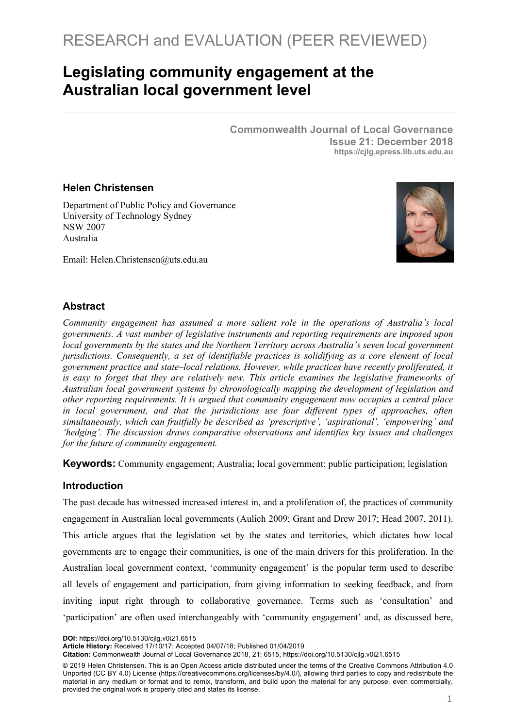# **Legislating community engagement at the Australian local government level**

**Commonwealth Journal of Local Governance Issue 21: December 2018 https://cjlg.epress.lib.uts.edu.au**

#### **Helen Christensen**

Department of Public Policy and Governance University of Technology Sydney NSW 2007 Australia



Email: Helen.Christensen@uts.edu.au

## **Abstract**

*Community engagement has assumed a more salient role in the operations of Australia's local governments. A vast number of legislative instruments and reporting requirements are imposed upon local governments by the states and the Northern Territory across Australia's seven local government jurisdictions. Consequently, a set of identifiable practices is solidifying as a core element of local government practice and state–local relations. However, while practices have recently proliferated, it is easy to forget that they are relatively new. This article examines the legislative frameworks of Australian local government systems by chronologically mapping the development of legislation and other reporting requirements. It is argued that community engagement now occupies a central place in local government, and that the jurisdictions use four different types of approaches, often simultaneously, which can fruitfully be described as 'prescriptive', 'aspirational', 'empowering' and 'hedging'. The discussion draws comparative observations and identifies key issues and challenges for the future of community engagement.*

**Keywords:** Community engagement; Australia; local government; public participation; legislation

## **Introduction**

The past decade has witnessed increased interest in, and a proliferation of, the practices of community engagement in Australian local governments (Aulich 2009; Grant and Drew 2017; Head 2007, 2011). This article argues that the legislation set by the states and territories, which dictates how local governments are to engage their communities, is one of the main drivers for this proliferation. In the Australian local government context, 'community engagement' is the popular term used to describe all levels of engagement and participation, from giving information to seeking feedback, and from inviting input right through to collaborative governance. Terms such as 'consultation' and 'participation' are often used interchangeably with 'community engagement' and, as discussed here,

**DOI:** https://doi.org/10.5130/cjlg.v0i21.6515

**Citation:** Commonwealth Journal of Local Governance 2018, 21: 6515, https://doi.org/10.5130/cjlg.v0i21.6515

**Article History:** Received 17/10/17; Accepted 04/07/18; Published 01/04/2019

<sup>© 2019</sup> Helen Christensen. This is an Open Access article distributed under the terms of the Creative Commons Attribution 4.0 Unported (CC BY 4.0) License (https://creativecommons.org/licenses/by/4.0/), allowing third parties to copy and redistribute the material in any medium or format and to remix, transform, and build upon the material for any purpose, even commercially, provided the original work is properly cited and states its license.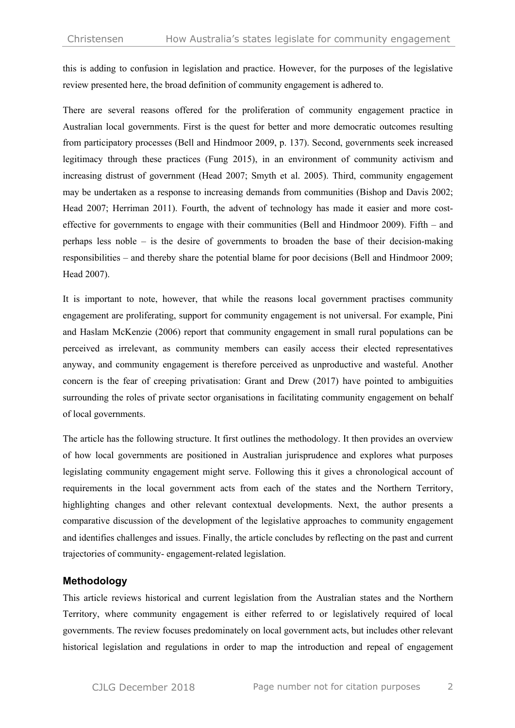this is adding to confusion in legislation and practice. However, for the purposes of the legislative review presented here, the broad definition of community engagement is adhered to.

There are several reasons offered for the proliferation of community engagement practice in Australian local governments. First is the quest for better and more democratic outcomes resulting from participatory processes (Bell and Hindmoor 2009, p. 137). Second, governments seek increased legitimacy through these practices (Fung 2015), in an environment of community activism and increasing distrust of government (Head 2007; Smyth et al. 2005). Third, community engagement may be undertaken as a response to increasing demands from communities (Bishop and Davis 2002; Head 2007; Herriman 2011). Fourth, the advent of technology has made it easier and more costeffective for governments to engage with their communities (Bell and Hindmoor 2009). Fifth – and perhaps less noble – is the desire of governments to broaden the base of their decision-making responsibilities – and thereby share the potential blame for poor decisions (Bell and Hindmoor 2009; Head 2007).

It is important to note, however, that while the reasons local government practises community engagement are proliferating, support for community engagement is not universal. For example, Pini and Haslam McKenzie (2006) report that community engagement in small rural populations can be perceived as irrelevant, as community members can easily access their elected representatives anyway, and community engagement is therefore perceived as unproductive and wasteful. Another concern is the fear of creeping privatisation: Grant and Drew (2017) have pointed to ambiguities surrounding the roles of private sector organisations in facilitating community engagement on behalf of local governments.

The article has the following structure. It first outlines the methodology. It then provides an overview of how local governments are positioned in Australian jurisprudence and explores what purposes legislating community engagement might serve. Following this it gives a chronological account of requirements in the local government acts from each of the states and the Northern Territory, highlighting changes and other relevant contextual developments. Next, the author presents a comparative discussion of the development of the legislative approaches to community engagement and identifies challenges and issues. Finally, the article concludes by reflecting on the past and current trajectories of community- engagement-related legislation.

#### **Methodology**

This article reviews historical and current legislation from the Australian states and the Northern Territory, where community engagement is either referred to or legislatively required of local governments. The review focuses predominately on local government acts, but includes other relevant historical legislation and regulations in order to map the introduction and repeal of engagement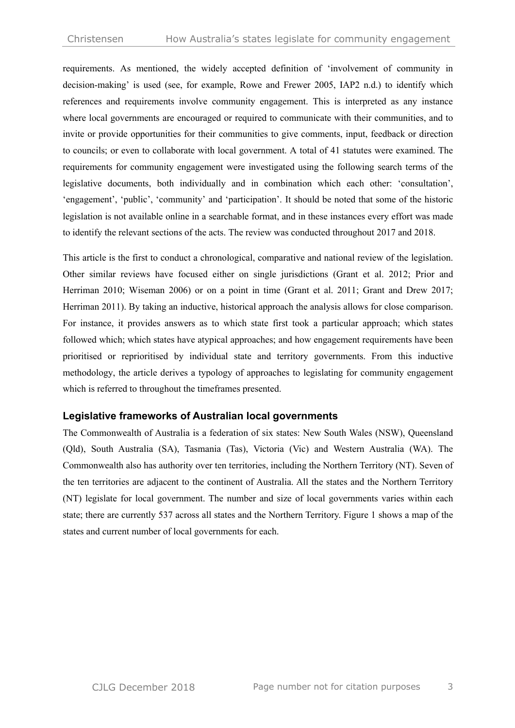requirements. As mentioned, the widely accepted definition of 'involvement of community in decision-making' is used (see, for example, Rowe and Frewer 2005, IAP2 n.d.) to identify which references and requirements involve community engagement. This is interpreted as any instance where local governments are encouraged or required to communicate with their communities, and to invite or provide opportunities for their communities to give comments, input, feedback or direction to councils; or even to collaborate with local government. A total of 41 statutes were examined. The requirements for community engagement were investigated using the following search terms of the legislative documents, both individually and in combination which each other: 'consultation', 'engagement', 'public', 'community' and 'participation'. It should be noted that some of the historic legislation is not available online in a searchable format, and in these instances every effort was made to identify the relevant sections of the acts. The review was conducted throughout 2017 and 2018.

This article is the first to conduct a chronological, comparative and national review of the legislation. Other similar reviews have focused either on single jurisdictions (Grant et al. 2012; Prior and Herriman 2010; Wiseman 2006) or on a point in time (Grant et al. 2011; Grant and Drew 2017; Herriman 2011). By taking an inductive, historical approach the analysis allows for close comparison. For instance, it provides answers as to which state first took a particular approach; which states followed which; which states have atypical approaches; and how engagement requirements have been prioritised or reprioritised by individual state and territory governments. From this inductive methodology, the article derives a typology of approaches to legislating for community engagement which is referred to throughout the timeframes presented.

#### **Legislative frameworks of Australian local governments**

The Commonwealth of Australia is a federation of six states: New South Wales (NSW), Queensland (Qld), South Australia (SA), Tasmania (Tas), Victoria (Vic) and Western Australia (WA). The Commonwealth also has authority over ten territories, including the Northern Territory (NT). Seven of the ten territories are adjacent to the continent of Australia. All the states and the Northern Territory (NT) legislate for local government. The number and size of local governments varies within each state; there are currently 537 across all states and the Northern Territory. Figure 1 shows a map of the states and current number of local governments for each.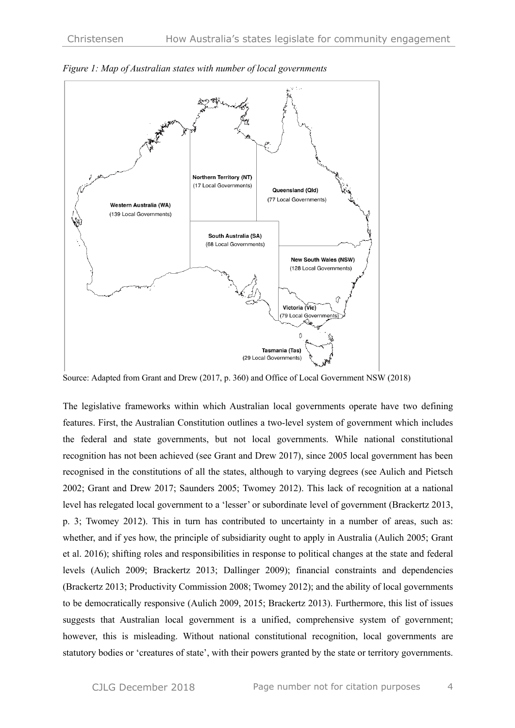

*Figure 1: Map of Australian states with number of local governments*

Source: Adapted from Grant and Drew (2017, p. 360) and Office of Local Government NSW (2018)

The legislative frameworks within which Australian local governments operate have two defining features. First, the Australian Constitution outlines a two-level system of government which includes the federal and state governments, but not local governments. While national constitutional recognition has not been achieved (see Grant and Drew 2017), since 2005 local government has been recognised in the constitutions of all the states, although to varying degrees (see Aulich and Pietsch 2002; Grant and Drew 2017; Saunders 2005; Twomey 2012). This lack of recognition at a national level has relegated local government to a 'lesser' or subordinate level of government (Brackertz 2013, p. 3; Twomey 2012). This in turn has contributed to uncertainty in a number of areas, such as: whether, and if yes how, the principle of subsidiarity ought to apply in Australia (Aulich 2005; Grant et al. 2016); shifting roles and responsibilities in response to political changes at the state and federal levels (Aulich 2009; Brackertz 2013; Dallinger 2009); financial constraints and dependencies (Brackertz 2013; Productivity Commission 2008; Twomey 2012); and the ability of local governments to be democratically responsive (Aulich 2009, 2015; Brackertz 2013). Furthermore, this list of issues suggests that Australian local government is a unified, comprehensive system of government; however, this is misleading. Without national constitutional recognition, local governments are statutory bodies or 'creatures of state', with their powers granted by the state or territory governments.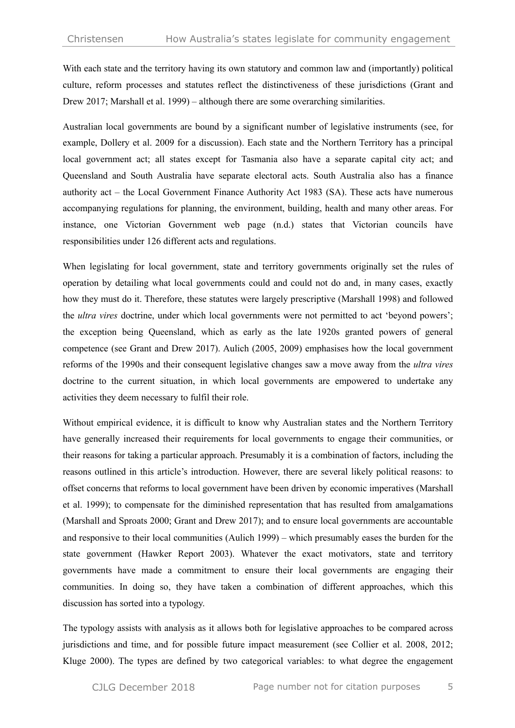With each state and the territory having its own statutory and common law and (importantly) political culture, reform processes and statutes reflect the distinctiveness of these jurisdictions (Grant and Drew 2017; Marshall et al. 1999) – although there are some overarching similarities.

Australian local governments are bound by a significant number of legislative instruments (see, for example, Dollery et al. 2009 for a discussion). Each state and the Northern Territory has a principal local government act; all states except for Tasmania also have a separate capital city act; and Queensland and South Australia have separate electoral acts. South Australia also has a finance authority act – the Local Government Finance Authority Act 1983 (SA). These acts have numerous accompanying regulations for planning, the environment, building, health and many other areas. For instance, one Victorian Government web page (n.d.) states that Victorian councils have responsibilities under 126 different acts and regulations.

When legislating for local government, state and territory governments originally set the rules of operation by detailing what local governments could and could not do and, in many cases, exactly how they must do it. Therefore, these statutes were largely prescriptive (Marshall 1998) and followed the *ultra vires* doctrine, under which local governments were not permitted to act 'beyond powers'; the exception being Queensland, which as early as the late 1920s granted powers of general competence (see Grant and Drew 2017). Aulich (2005, 2009) emphasises how the local government reforms of the 1990s and their consequent legislative changes saw a move away from the *ultra vires* doctrine to the current situation, in which local governments are empowered to undertake any activities they deem necessary to fulfil their role.

Without empirical evidence, it is difficult to know why Australian states and the Northern Territory have generally increased their requirements for local governments to engage their communities, or their reasons for taking a particular approach. Presumably it is a combination of factors, including the reasons outlined in this article's introduction. However, there are several likely political reasons: to offset concerns that reforms to local government have been driven by economic imperatives (Marshall et al. 1999); to compensate for the diminished representation that has resulted from amalgamations (Marshall and Sproats 2000; Grant and Drew 2017); and to ensure local governments are accountable and responsive to their local communities (Aulich 1999) – which presumably eases the burden for the state government (Hawker Report 2003). Whatever the exact motivators, state and territory governments have made a commitment to ensure their local governments are engaging their communities. In doing so, they have taken a combination of different approaches, which this discussion has sorted into a typology.

The typology assists with analysis as it allows both for legislative approaches to be compared across jurisdictions and time, and for possible future impact measurement (see Collier et al. 2008, 2012; Kluge 2000). The types are defined by two categorical variables: to what degree the engagement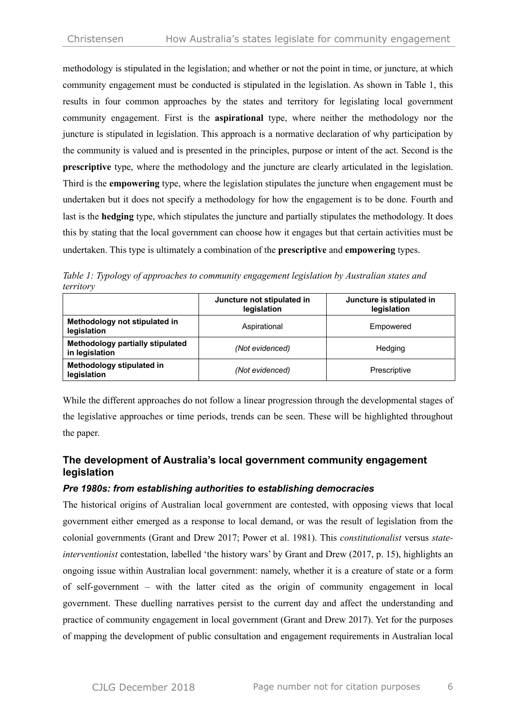methodology is stipulated in the legislation; and whether or not the point in time, or juncture, at which community engagement must be conducted is stipulated in the legislation. As shown in Table 1, this results in four common approaches by the states and territory for legislating local government community engagement. First is the **aspirational** type, where neither the methodology nor the juncture is stipulated in legislation. This approach is a normative declaration of why participation by the community is valued and is presented in the principles, purpose or intent of the act. Second is the **prescriptive** type, where the methodology and the juncture are clearly articulated in the legislation. Third is the **empowering** type, where the legislation stipulates the juncture when engagement must be undertaken but it does not specify a methodology for how the engagement is to be done. Fourth and last is the **hedging** type, which stipulates the juncture and partially stipulates the methodology. It does this by stating that the local government can choose how it engages but that certain activities must be undertaken. This type is ultimately a combination of the **prescriptive** and **empowering** types.

*Table 1: Typology of approaches to community engagement legislation by Australian states and territory*

|                                                    | Juncture not stipulated in<br>legislation | Juncture is stipulated in<br>legislation |
|----------------------------------------------------|-------------------------------------------|------------------------------------------|
| Methodology not stipulated in<br>legislation       | Aspirational                              | Empowered                                |
| Methodology partially stipulated<br>in legislation | (Not evidenced)                           | Hedging                                  |
| Methodology stipulated in<br>legislation           | (Not evidenced)                           | Prescriptive                             |

While the different approaches do not follow a linear progression through the developmental stages of the legislative approaches or time periods, trends can be seen. These will be highlighted throughout the paper.

# **The development of Australia's local government community engagement legislation**

#### *Pre 1980s: from establishing authorities to establishing democracies*

The historical origins of Australian local government are contested, with opposing views that local government either emerged as a response to local demand, or was the result of legislation from the colonial governments (Grant and Drew 2017; Power et al. 1981). This *constitutionalist* versus *stateinterventionist* contestation, labelled 'the history wars' by Grant and Drew (2017, p. 15), highlights an ongoing issue within Australian local government: namely, whether it is a creature of state or a form of self-government – with the latter cited as the origin of community engagement in local government. These duelling narratives persist to the current day and affect the understanding and practice of community engagement in local government (Grant and Drew 2017). Yet for the purposes of mapping the development of public consultation and engagement requirements in Australian local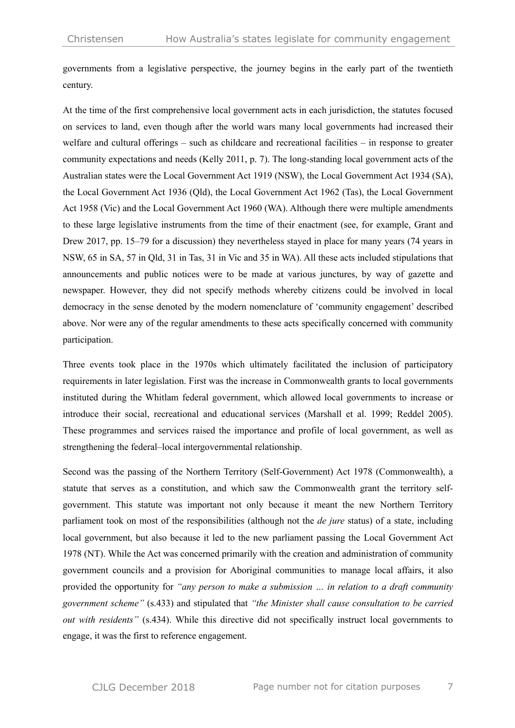governments from a legislative perspective, the journey begins in the early part of the twentieth century.

At the time of the first comprehensive local government acts in each jurisdiction, the statutes focused on services to land, even though after the world wars many local governments had increased their welfare and cultural offerings – such as childcare and recreational facilities – in response to greater community expectations and needs (Kelly 2011, p. 7). The long-standing local government acts of the Australian states were the Local Government Act 1919 (NSW), the Local Government Act 1934 (SA), the Local Government Act 1936 (Qld), the Local Government Act 1962 (Tas), the Local Government Act 1958 (Vic) and the Local Government Act 1960 (WA). Although there were multiple amendments to these large legislative instruments from the time of their enactment (see, for example, Grant and Drew 2017, pp. 15–79 for a discussion) they nevertheless stayed in place for many years (74 years in NSW, 65 in SA, 57 in Qld, 31 in Tas, 31 in Vic and 35 in WA). All these acts included stipulations that announcements and public notices were to be made at various junctures, by way of gazette and newspaper. However, they did not specify methods whereby citizens could be involved in local democracy in the sense denoted by the modern nomenclature of 'community engagement' described above. Nor were any of the regular amendments to these acts specifically concerned with community participation.

Three events took place in the 1970s which ultimately facilitated the inclusion of participatory requirements in later legislation. First was the increase in Commonwealth grants to local governments instituted during the Whitlam federal government, which allowed local governments to increase or introduce their social, recreational and educational services (Marshall et al. 1999; Reddel 2005). These programmes and services raised the importance and profile of local government, as well as strengthening the federal–local intergovernmental relationship.

Second was the passing of the Northern Territory (Self-Government) Act 1978 (Commonwealth), a statute that serves as a constitution, and which saw the Commonwealth grant the territory selfgovernment. This statute was important not only because it meant the new Northern Territory parliament took on most of the responsibilities (although not the *de jure* status) of a state, including local government, but also because it led to the new parliament passing the Local Government Act 1978 (NT). While the Act was concerned primarily with the creation and administration of community government councils and a provision for Aboriginal communities to manage local affairs, it also provided the opportunity for *"any person to make a submission … in relation to a draft community government scheme"* (s.433) and stipulated that *"the Minister shall cause consultation to be carried out with residents"* (s.434). While this directive did not specifically instruct local governments to engage, it was the first to reference engagement.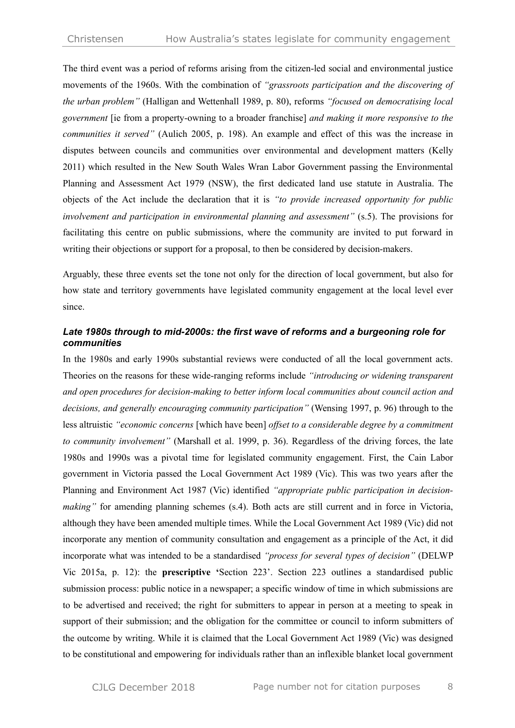The third event was a period of reforms arising from the citizen-led social and environmental justice movements of the 1960s. With the combination of *"grassroots participation and the discovering of the urban problem"* (Halligan and Wettenhall 1989, p. 80), reforms *"focused on democratising local government* [ie from a property-owning to a broader franchise] *and making it more responsive to the communities it served"* (Aulich 2005, p. 198). An example and effect of this was the increase in disputes between councils and communities over environmental and development matters (Kelly 2011) which resulted in the New South Wales Wran Labor Government passing the Environmental Planning and Assessment Act 1979 (NSW), the first dedicated land use statute in Australia. The objects of the Act include the declaration that it is *"to provide increased opportunity for public involvement and participation in environmental planning and assessment"* (s.5). The provisions for facilitating this centre on public submissions, where the community are invited to put forward in writing their objections or support for a proposal, to then be considered by decision-makers.

Arguably, these three events set the tone not only for the direction of local government, but also for how state and territory governments have legislated community engagement at the local level ever since.

#### *Late 1980s through to mid-2000s: the first wave of reforms and a burgeoning role for communities*

In the 1980s and early 1990s substantial reviews were conducted of all the local government acts. Theories on the reasons for these wide-ranging reforms include *"introducing or widening transparent and open procedures for decision-making to better inform local communities about council action and decisions, and generally encouraging community participation"* (Wensing 1997, p. 96) through to the less altruistic *"economic concerns* [which have been] *offset to a considerable degree by a commitment to community involvement"* (Marshall et al. 1999, p. 36). Regardless of the driving forces, the late 1980s and 1990s was a pivotal time for legislated community engagement. First, the Cain Labor government in Victoria passed the Local Government Act 1989 (Vic). This was two years after the Planning and Environment Act 1987 (Vic) identified *"appropriate public participation in decisionmaking*" for amending planning schemes (s.4). Both acts are still current and in force in Victoria, although they have been amended multiple times. While the Local Government Act 1989 (Vic) did not incorporate any mention of community consultation and engagement as a principle of the Act, it did incorporate what was intended to be a standardised *"process for several types of decision"* (DELWP Vic 2015a, p. 12): the **prescriptive '**Section 223'. Section 223 outlines a standardised public submission process: public notice in a newspaper; a specific window of time in which submissions are to be advertised and received; the right for submitters to appear in person at a meeting to speak in support of their submission; and the obligation for the committee or council to inform submitters of the outcome by writing. While it is claimed that the Local Government Act 1989 (Vic) was designed to be constitutional and empowering for individuals rather than an inflexible blanket local government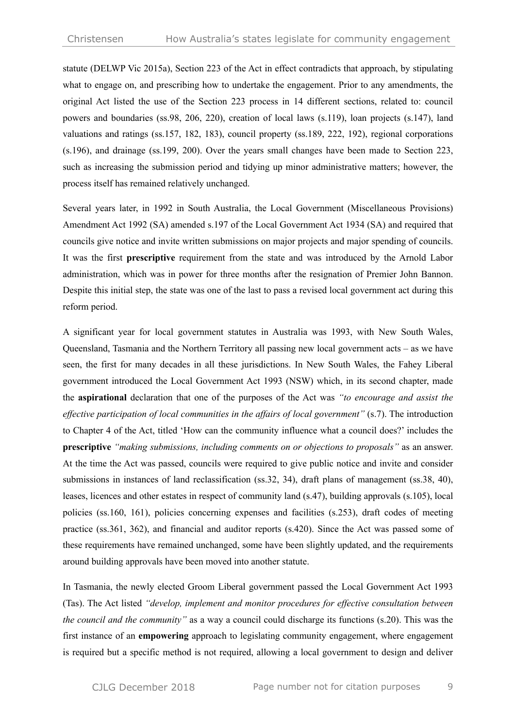statute (DELWP Vic 2015a), Section 223 of the Act in effect contradicts that approach, by stipulating what to engage on, and prescribing how to undertake the engagement. Prior to any amendments, the original Act listed the use of the Section 223 process in 14 different sections, related to: council powers and boundaries (ss.98, 206, 220), creation of local laws (s.119), loan projects (s.147), land valuations and ratings (ss.157, 182, 183), council property (ss.189, 222, 192), regional corporations (s.196), and drainage (ss.199, 200). Over the years small changes have been made to Section 223, such as increasing the submission period and tidying up minor administrative matters; however, the process itself has remained relatively unchanged.

Several years later, in 1992 in South Australia, the Local Government (Miscellaneous Provisions) Amendment Act 1992 (SA) amended s.197 of the Local Government Act 1934 (SA) and required that councils give notice and invite written submissions on major projects and major spending of councils. It was the first **prescriptive** requirement from the state and was introduced by the Arnold Labor administration, which was in power for three months after the resignation of Premier John Bannon. Despite this initial step, the state was one of the last to pass a revised local government act during this reform period.

A significant year for local government statutes in Australia was 1993, with New South Wales, Queensland, Tasmania and the Northern Territory all passing new local government acts – as we have seen, the first for many decades in all these jurisdictions. In New South Wales, the Fahey Liberal government introduced the Local Government Act 1993 (NSW) which, in its second chapter, made the **aspirational** declaration that one of the purposes of the Act was *"to encourage and assist the effective participation of local communities in the affairs of local government"* (s.7). The introduction to Chapter 4 of the Act, titled 'How can the community influence what a council does?' includes the **prescriptive** *"making submissions, including comments on or objections to proposals"* as an answer. At the time the Act was passed, councils were required to give public notice and invite and consider submissions in instances of land reclassification (ss.32, 34), draft plans of management (ss.38, 40), leases, licences and other estates in respect of community land (s.47), building approvals (s.105), local policies (ss.160, 161), policies concerning expenses and facilities (s.253), draft codes of meeting practice (ss.361, 362), and financial and auditor reports (s.420). Since the Act was passed some of these requirements have remained unchanged, some have been slightly updated, and the requirements around building approvals have been moved into another statute.

In Tasmania, the newly elected Groom Liberal government passed the Local Government Act 1993 (Tas). The Act listed *"develop, implement and monitor procedures for effective consultation between the council and the community"* as a way a council could discharge its functions (s.20). This was the first instance of an **empowering** approach to legislating community engagement, where engagement is required but a specific method is not required, allowing a local government to design and deliver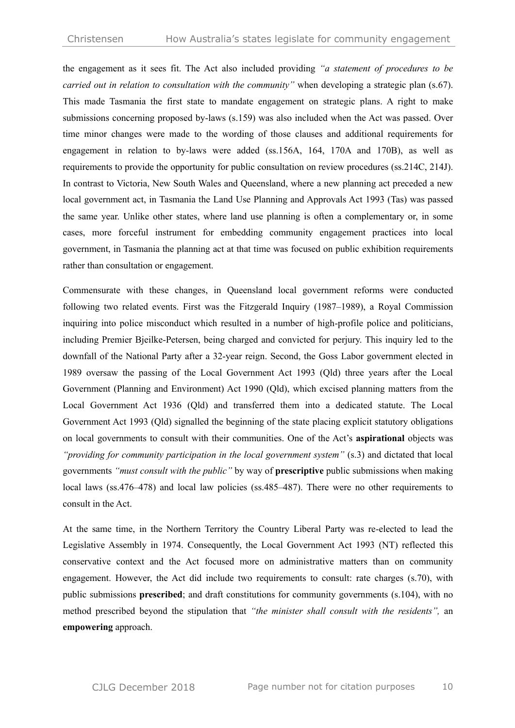the engagement as it sees fit. The Act also included providing *"a statement of procedures to be carried out in relation to consultation with the community"* when developing a strategic plan (s.67). This made Tasmania the first state to mandate engagement on strategic plans. A right to make submissions concerning proposed by-laws (s.159) was also included when the Act was passed. Over time minor changes were made to the wording of those clauses and additional requirements for engagement in relation to by-laws were added (ss.156A, 164, 170A and 170B), as well as requirements to provide the opportunity for public consultation on review procedures (ss.214C, 214J). In contrast to Victoria, New South Wales and Queensland, where a new planning act preceded a new local government act, in Tasmania the Land Use Planning and Approvals Act 1993 (Tas) was passed the same year. Unlike other states, where land use planning is often a complementary or, in some cases, more forceful instrument for embedding community engagement practices into local government, in Tasmania the planning act at that time was focused on public exhibition requirements rather than consultation or engagement.

Commensurate with these changes, in Queensland local government reforms were conducted following two related events. First was the Fitzgerald Inquiry (1987–1989), a Royal Commission inquiring into police misconduct which resulted in a number of high-profile police and politicians, including Premier Bjeilke-Petersen, being charged and convicted for perjury. This inquiry led to the downfall of the National Party after a 32-year reign. Second, the Goss Labor government elected in 1989 oversaw the passing of the Local Government Act 1993 (Qld) three years after the Local Government (Planning and Environment) Act 1990 (Qld), which excised planning matters from the Local Government Act 1936 (Qld) and transferred them into a dedicated statute. The Local Government Act 1993 (Qld) signalled the beginning of the state placing explicit statutory obligations on local governments to consult with their communities. One of the Act's **aspirational** objects was *"providing for community participation in the local government system"* (s.3) and dictated that local governments *"must consult with the public"* by way of **prescriptive** public submissions when making local laws (ss.476–478) and local law policies (ss.485–487). There were no other requirements to consult in the Act.

At the same time, in the Northern Territory the Country Liberal Party was re-elected to lead the Legislative Assembly in 1974. Consequently, the Local Government Act 1993 (NT) reflected this conservative context and the Act focused more on administrative matters than on community engagement. However, the Act did include two requirements to consult: rate charges (s.70), with public submissions **prescribed**; and draft constitutions for community governments (s.104), with no method prescribed beyond the stipulation that *"the minister shall consult with the residents",* an **empowering** approach.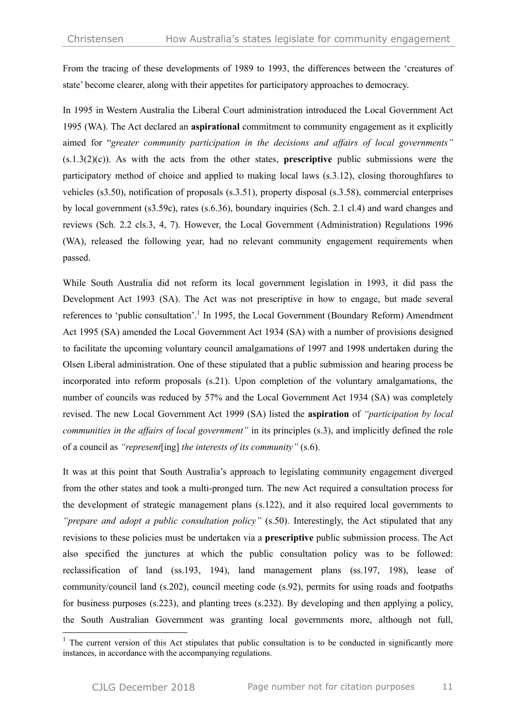From the tracing of these developments of 1989 to 1993, the differences between the 'creatures of state' become clearer, along with their appetites for participatory approaches to democracy.

In 1995 in Western Australia the Liberal Court administration introduced the Local Government Act 1995 (WA). The Act declared an **aspirational** commitment to community engagement as it explicitly aimed for "*greater community participation in the decisions and affairs of local governments"*  (s.1.3(2)(c)). As with the acts from the other states, **prescriptive** public submissions were the participatory method of choice and applied to making local laws (s.3.12), closing thoroughfares to vehicles (s3.50), notification of proposals (s.3.51), property disposal (s.3.58), commercial enterprises by local government (s3.59c), rates (s.6.36), boundary inquiries (Sch. 2.1 cl.4) and ward changes and reviews (Sch. 2.2 cls.3, 4, 7). However, the Local Government (Administration) Regulations 1996 (WA), released the following year, had no relevant community engagement requirements when passed.

While South Australia did not reform its local government legislation in 1993, it did pass the Development Act 1993 (SA). The Act was not prescriptive in how to engage, but made several references to 'public consultation'.<sup>1</sup> In 1995, the Local Government (Boundary Reform) Amendment Act 1995 (SA) amended the Local Government Act 1934 (SA) with a number of provisions designed to facilitate the upcoming voluntary council amalgamations of 1997 and 1998 undertaken during the Olsen Liberal administration. One of these stipulated that a public submission and hearing process be incorporated into reform proposals (s.21). Upon completion of the voluntary amalgamations, the number of councils was reduced by 57% and the Local Government Act 1934 (SA) was completely revised. The new Local Government Act 1999 (SA) listed the **aspiration** of *"participation by local communities in the affairs of local government"* in its principles (s.3), and implicitly defined the role of a council as *"represent*[ing] *the interests of its community"* (s.6).

It was at this point that South Australia's approach to legislating community engagement diverged from the other states and took a multi-pronged turn. The new Act required a consultation process for the development of strategic management plans (s.122), and it also required local governments to *"prepare and adopt a public consultation policy"* (s.50). Interestingly, the Act stipulated that any revisions to these policies must be undertaken via a **prescriptive** public submission process. The Act also specified the junctures at which the public consultation policy was to be followed: reclassification of land (ss.193, 194), land management plans (ss.197, 198), lease of community/council land (s.202), council meeting code (s.92), permits for using roads and footpaths for business purposes (s.223), and planting trees (s.232). By developing and then applying a policy, the South Australian Government was granting local governments more, although not full,

 $1$  The current version of this Act stipulates that public consultation is to be conducted in significantly more instances, in accordance with the accompanying regulations.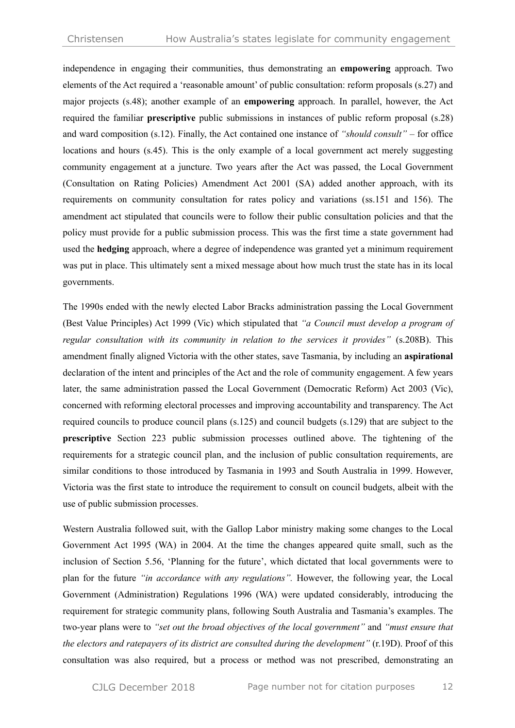independence in engaging their communities, thus demonstrating an **empowering** approach. Two elements of the Act required a 'reasonable amount' of public consultation: reform proposals (s.27) and major projects (s.48); another example of an **empowering** approach. In parallel, however, the Act required the familiar **prescriptive** public submissions in instances of public reform proposal (s.28) and ward composition (s.12). Finally, the Act contained one instance of *"should consult"* – for office locations and hours (s.45). This is the only example of a local government act merely suggesting community engagement at a juncture. Two years after the Act was passed, the Local Government (Consultation on Rating Policies) Amendment Act 2001 (SA) added another approach, with its requirements on community consultation for rates policy and variations (ss.151 and 156). The amendment act stipulated that councils were to follow their public consultation policies and that the policy must provide for a public submission process. This was the first time a state government had used the **hedging** approach, where a degree of independence was granted yet a minimum requirement was put in place. This ultimately sent a mixed message about how much trust the state has in its local governments.

The 1990s ended with the newly elected Labor Bracks administration passing the Local Government (Best Value Principles) Act 1999 (Vic) which stipulated that *"a Council must develop a program of regular consultation with its community in relation to the services it provides"* (s.208B). This amendment finally aligned Victoria with the other states, save Tasmania, by including an **aspirational**  declaration of the intent and principles of the Act and the role of community engagement. A few years later, the same administration passed the Local Government (Democratic Reform) Act 2003 (Vic), concerned with reforming electoral processes and improving accountability and transparency. The Act required councils to produce council plans (s.125) and council budgets (s.129) that are subject to the **prescriptive** Section 223 public submission processes outlined above. The tightening of the requirements for a strategic council plan, and the inclusion of public consultation requirements, are similar conditions to those introduced by Tasmania in 1993 and South Australia in 1999. However, Victoria was the first state to introduce the requirement to consult on council budgets, albeit with the use of public submission processes.

Western Australia followed suit, with the Gallop Labor ministry making some changes to the Local Government Act 1995 (WA) in 2004. At the time the changes appeared quite small, such as the inclusion of Section 5.56, 'Planning for the future', which dictated that local governments were to plan for the future *"in accordance with any regulations".* However, the following year, the Local Government (Administration) Regulations 1996 (WA) were updated considerably, introducing the requirement for strategic community plans, following South Australia and Tasmania's examples. The two-year plans were to *"set out the broad objectives of the local government"* and *"must ensure that the electors and ratepayers of its district are consulted during the development"* (r.19D). Proof of this consultation was also required, but a process or method was not prescribed, demonstrating an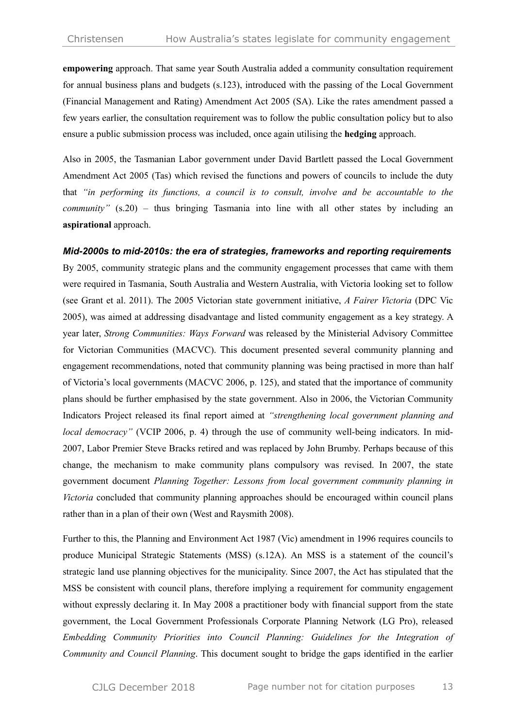**empowering** approach. That same year South Australia added a community consultation requirement for annual business plans and budgets (s.123), introduced with the passing of the Local Government (Financial Management and Rating) Amendment Act 2005 (SA). Like the rates amendment passed a few years earlier, the consultation requirement was to follow the public consultation policy but to also ensure a public submission process was included, once again utilising the **hedging** approach.

Also in 2005, the Tasmanian Labor government under David Bartlett passed the Local Government Amendment Act 2005 (Tas) which revised the functions and powers of councils to include the duty that *"in performing its functions, a council is to consult, involve and be accountable to the community*" (s.20) – thus bringing Tasmania into line with all other states by including an **aspirational** approach.

#### *Mid-2000s to mid-2010s: the era of strategies, frameworks and reporting requirements*

By 2005, community strategic plans and the community engagement processes that came with them were required in Tasmania, South Australia and Western Australia, with Victoria looking set to follow (see Grant et al. 2011). The 2005 Victorian state government initiative, *A Fairer Victoria* (DPC Vic 2005), was aimed at addressing disadvantage and listed community engagement as a key strategy. A year later, *Strong Communities: Ways Forward* was released by the Ministerial Advisory Committee for Victorian Communities (MACVC). This document presented several community planning and engagement recommendations, noted that community planning was being practised in more than half of Victoria's local governments (MACVC 2006, p. 125), and stated that the importance of community plans should be further emphasised by the state government. Also in 2006, the Victorian Community Indicators Project released its final report aimed at *"strengthening local government planning and local democracy"* (VCIP 2006, p. 4) through the use of community well-being indicators. In mid-2007, Labor Premier Steve Bracks retired and was replaced by John Brumby. Perhaps because of this change, the mechanism to make community plans compulsory was revised. In 2007, the state government document *Planning Together: Lessons from local government community planning in Victoria* concluded that community planning approaches should be encouraged within council plans rather than in a plan of their own (West and Raysmith 2008).

Further to this, the Planning and Environment Act 1987 (Vic) amendment in 1996 requires councils to produce Municipal Strategic Statements (MSS) (s.12A). An MSS is a statement of the council's strategic land use planning objectives for the municipality. Since 2007, the Act has stipulated that the MSS be consistent with council plans, therefore implying a requirement for community engagement without expressly declaring it. In May 2008 a practitioner body with financial support from the state government, the Local Government Professionals Corporate Planning Network (LG Pro), released *Embedding Community Priorities into Council Planning: Guidelines for the Integration of Community and Council Planning*. This document sought to bridge the gaps identified in the earlier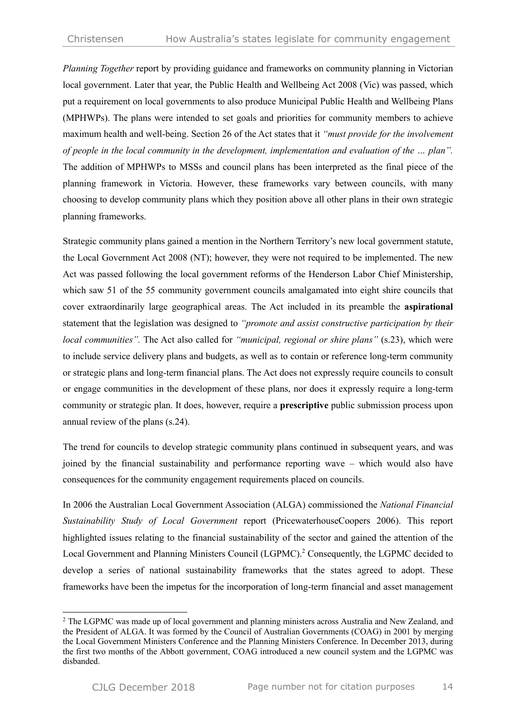*Planning Together* report by providing guidance and frameworks on community planning in Victorian local government. Later that year, the Public Health and Wellbeing Act 2008 (Vic) was passed, which put a requirement on local governments to also produce Municipal Public Health and Wellbeing Plans (MPHWPs). The plans were intended to set goals and priorities for community members to achieve maximum health and well-being. Section 26 of the Act states that it *"must provide for the involvement of people in the local community in the development, implementation and evaluation of the … plan".* The addition of MPHWPs to MSSs and council plans has been interpreted as the final piece of the planning framework in Victoria. However, these frameworks vary between councils, with many choosing to develop community plans which they position above all other plans in their own strategic planning frameworks.

Strategic community plans gained a mention in the Northern Territory's new local government statute, the Local Government Act 2008 (NT); however, they were not required to be implemented. The new Act was passed following the local government reforms of the Henderson Labor Chief Ministership, which saw 51 of the 55 community government councils amalgamated into eight shire councils that cover extraordinarily large geographical areas. The Act included in its preamble the **aspirational**  statement that the legislation was designed to *"promote and assist constructive participation by their local communities".* The Act also called for *"municipal, regional or shire plans"* (s.23), which were to include service delivery plans and budgets, as well as to contain or reference long-term community or strategic plans and long-term financial plans. The Act does not expressly require councils to consult or engage communities in the development of these plans, nor does it expressly require a long-term community or strategic plan. It does, however, require a **prescriptive** public submission process upon annual review of the plans (s.24).

The trend for councils to develop strategic community plans continued in subsequent years, and was joined by the financial sustainability and performance reporting wave – which would also have consequences for the community engagement requirements placed on councils.

In 2006 the Australian Local Government Association (ALGA) commissioned the *National Financial Sustainability Study of Local Government* report (PricewaterhouseCoopers 2006). This report highlighted issues relating to the financial sustainability of the sector and gained the attention of the Local Government and Planning Ministers Council (LGPMC).<sup>2</sup> Consequently, the LGPMC decided to develop a series of national sustainability frameworks that the states agreed to adopt. These frameworks have been the impetus for the incorporation of long-term financial and asset management

 $\overline{a}$ 

<sup>&</sup>lt;sup>2</sup> The LGPMC was made up of local government and planning ministers across Australia and New Zealand, and the President of ALGA. It was formed by the Council of Australian Governments (COAG) in 2001 by merging the Local Government Ministers Conference and the Planning Ministers Conference. In December 2013, during the first two months of the Abbott government, COAG introduced a new council system and the LGPMC was disbanded.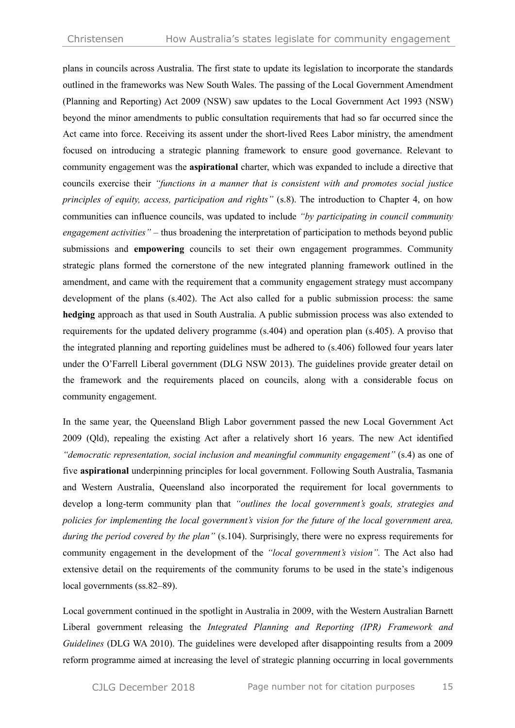plans in councils across Australia. The first state to update its legislation to incorporate the standards outlined in the frameworks was New South Wales. The passing of the Local Government Amendment (Planning and Reporting) Act 2009 (NSW) saw updates to the Local Government Act 1993 (NSW) beyond the minor amendments to public consultation requirements that had so far occurred since the Act came into force. Receiving its assent under the short-lived Rees Labor ministry, the amendment focused on introducing a strategic planning framework to ensure good governance. Relevant to community engagement was the **aspirational** charter, which was expanded to include a directive that councils exercise their *"functions in a manner that is consistent with and promotes social justice principles of equity, access, participation and rights"* (s.8). The introduction to Chapter 4, on how communities can influence councils, was updated to include *"by participating in council community engagement activities"* – thus broadening the interpretation of participation to methods beyond public submissions and **empowering** councils to set their own engagement programmes. Community strategic plans formed the cornerstone of the new integrated planning framework outlined in the amendment, and came with the requirement that a community engagement strategy must accompany development of the plans (s.402). The Act also called for a public submission process: the same **hedging** approach as that used in South Australia. A public submission process was also extended to requirements for the updated delivery programme (s.404) and operation plan (s.405). A proviso that the integrated planning and reporting guidelines must be adhered to (s.406) followed four years later under the O'Farrell Liberal government (DLG NSW 2013). The guidelines provide greater detail on the framework and the requirements placed on councils, along with a considerable focus on community engagement.

In the same year, the Queensland Bligh Labor government passed the new Local Government Act 2009 (Qld), repealing the existing Act after a relatively short 16 years. The new Act identified *"democratic representation, social inclusion and meaningful community engagement"* (s.4) as one of five **aspirational** underpinning principles for local government. Following South Australia, Tasmania and Western Australia, Queensland also incorporated the requirement for local governments to develop a long-term community plan that *"outlines the local government's goals, strategies and policies for implementing the local government's vision for the future of the local government area, during the period covered by the plan"* (s.104). Surprisingly, there were no express requirements for community engagement in the development of the *"local government's vision".* The Act also had extensive detail on the requirements of the community forums to be used in the state's indigenous local governments (ss.82–89).

Local government continued in the spotlight in Australia in 2009, with the Western Australian Barnett Liberal government releasing the *Integrated Planning and Reporting (IPR) Framework and Guidelines* (DLG WA 2010). The guidelines were developed after disappointing results from a 2009 reform programme aimed at increasing the level of strategic planning occurring in local governments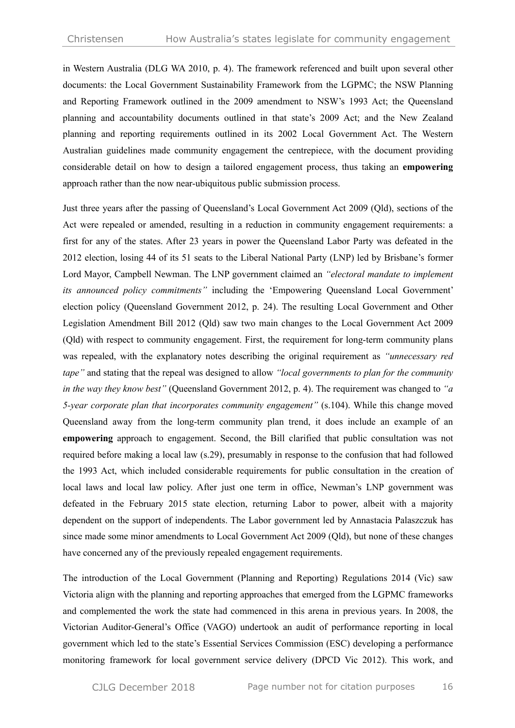in Western Australia (DLG WA 2010, p. 4). The framework referenced and built upon several other documents: the Local Government Sustainability Framework from the LGPMC; the NSW Planning and Reporting Framework outlined in the 2009 amendment to NSW's 1993 Act; the Queensland planning and accountability documents outlined in that state's 2009 Act; and the New Zealand planning and reporting requirements outlined in its 2002 Local Government Act. The Western Australian guidelines made community engagement the centrepiece, with the document providing considerable detail on how to design a tailored engagement process, thus taking an **empowering** approach rather than the now near-ubiquitous public submission process.

Just three years after the passing of Queensland's Local Government Act 2009 (Qld), sections of the Act were repealed or amended, resulting in a reduction in community engagement requirements: a first for any of the states. After 23 years in power the Queensland Labor Party was defeated in the 2012 election, losing 44 of its 51 seats to the Liberal National Party (LNP) led by Brisbane's former Lord Mayor, Campbell Newman. The LNP government claimed an *"electoral mandate to implement its announced policy commitments"* including the 'Empowering Queensland Local Government' election policy (Queensland Government 2012, p. 24). The resulting Local Government and Other Legislation Amendment Bill 2012 (Qld) saw two main changes to the Local Government Act 2009 (Qld) with respect to community engagement. First, the requirement for long-term community plans was repealed, with the explanatory notes describing the original requirement as *"unnecessary red tape"* and stating that the repeal was designed to allow *"local governments to plan for the community in the way they know best"* (Queensland Government 2012, p. 4). The requirement was changed to *"a 5-year corporate plan that incorporates community engagement"* (s.104). While this change moved Queensland away from the long-term community plan trend, it does include an example of an **empowering** approach to engagement. Second, the Bill clarified that public consultation was not required before making a local law (s.29), presumably in response to the confusion that had followed the 1993 Act, which included considerable requirements for public consultation in the creation of local laws and local law policy. After just one term in office, Newman's LNP government was defeated in the February 2015 state election, returning Labor to power, albeit with a majority dependent on the support of independents. The Labor government led by Annastacia Palaszczuk has since made some minor amendments to Local Government Act 2009 (Qld), but none of these changes have concerned any of the previously repealed engagement requirements.

The introduction of the Local Government (Planning and Reporting) Regulations 2014 (Vic) saw Victoria align with the planning and reporting approaches that emerged from the LGPMC frameworks and complemented the work the state had commenced in this arena in previous years. In 2008, the Victorian Auditor-General's Office (VAGO) undertook an audit of performance reporting in local government which led to the state's Essential Services Commission (ESC) developing a performance monitoring framework for local government service delivery (DPCD Vic 2012). This work, and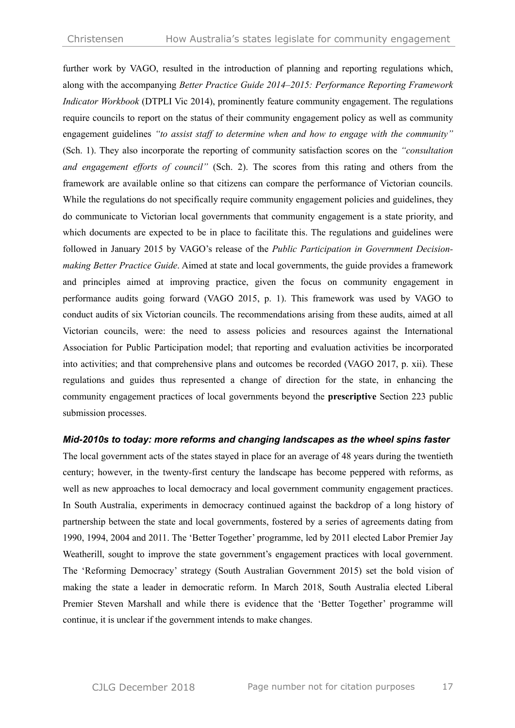further work by VAGO, resulted in the introduction of planning and reporting regulations which, along with the accompanying *Better Practice Guide 2014–2015: Performance Reporting Framework Indicator Workbook* (DTPLI Vic 2014), prominently feature community engagement. The regulations require councils to report on the status of their community engagement policy as well as community engagement guidelines *"to assist staff to determine when and how to engage with the community"* (Sch. 1). They also incorporate the reporting of community satisfaction scores on the *"consultation and engagement efforts of council"* (Sch. 2). The scores from this rating and others from the framework are available online so that citizens can compare the performance of Victorian councils. While the regulations do not specifically require community engagement policies and guidelines, they do communicate to Victorian local governments that community engagement is a state priority, and which documents are expected to be in place to facilitate this. The regulations and guidelines were followed in January 2015 by VAGO's release of the *Public Participation in Government Decisionmaking Better Practice Guide*. Aimed at state and local governments, the guide provides a framework and principles aimed at improving practice, given the focus on community engagement in performance audits going forward (VAGO 2015, p. 1). This framework was used by VAGO to conduct audits of six Victorian councils. The recommendations arising from these audits, aimed at all Victorian councils, were: the need to assess policies and resources against the International Association for Public Participation model; that reporting and evaluation activities be incorporated into activities; and that comprehensive plans and outcomes be recorded (VAGO 2017, p. xii). These regulations and guides thus represented a change of direction for the state, in enhancing the community engagement practices of local governments beyond the **prescriptive** Section 223 public submission processes.

#### *Mid-2010s to today: more reforms and changing landscapes as the wheel spins faster*

The local government acts of the states stayed in place for an average of 48 years during the twentieth century; however, in the twenty-first century the landscape has become peppered with reforms, as well as new approaches to local democracy and local government community engagement practices. In South Australia, experiments in democracy continued against the backdrop of a long history of partnership between the state and local governments, fostered by a series of agreements dating from 1990, 1994, 2004 and 2011. The 'Better Together' programme, led by 2011 elected Labor Premier Jay Weatherill, sought to improve the state government's engagement practices with local government. The 'Reforming Democracy' strategy (South Australian Government 2015) set the bold vision of making the state a leader in democratic reform. In March 2018, South Australia elected Liberal Premier Steven Marshall and while there is evidence that the 'Better Together' programme will continue, it is unclear if the government intends to make changes.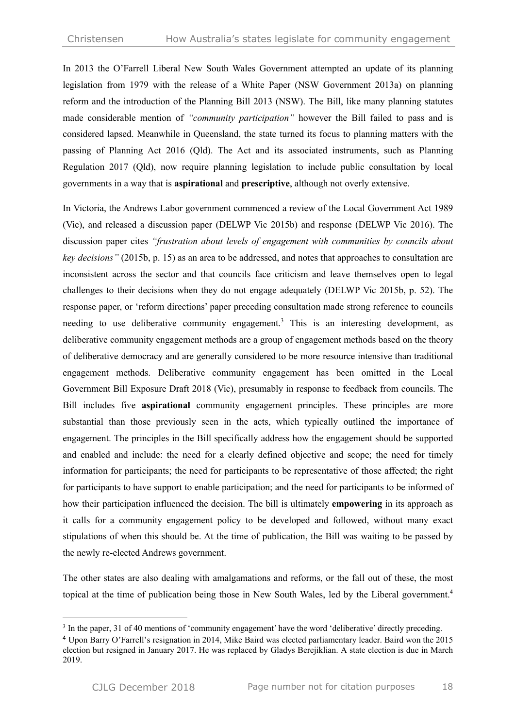In 2013 the O'Farrell Liberal New South Wales Government attempted an update of its planning legislation from 1979 with the release of a White Paper (NSW Government 2013a) on planning reform and the introduction of the Planning Bill 2013 (NSW). The Bill, like many planning statutes made considerable mention of *"community participation"* however the Bill failed to pass and is considered lapsed. Meanwhile in Queensland, the state turned its focus to planning matters with the passing of Planning Act 2016 (Qld). The Act and its associated instruments, such as Planning Regulation 2017 (Qld), now require planning legislation to include public consultation by local governments in a way that is **aspirational** and **prescriptive**, although not overly extensive.

In Victoria, the Andrews Labor government commenced a review of the Local Government Act 1989 (Vic), and released a discussion paper (DELWP Vic 2015b) and response (DELWP Vic 2016). The discussion paper cites *"frustration about levels of engagement with communities by councils about key decisions"* (2015b, p. 15) as an area to be addressed, and notes that approaches to consultation are inconsistent across the sector and that councils face criticism and leave themselves open to legal challenges to their decisions when they do not engage adequately (DELWP Vic 2015b, p. 52). The response paper, or 'reform directions' paper preceding consultation made strong reference to councils needing to use deliberative community engagement. <sup>3</sup> This is an interesting development, as deliberative community engagement methods are a group of engagement methods based on the theory of deliberative democracy and are generally considered to be more resource intensive than traditional engagement methods. Deliberative community engagement has been omitted in the Local Government Bill Exposure Draft 2018 (Vic), presumably in response to feedback from councils. The Bill includes five **aspirational** community engagement principles. These principles are more substantial than those previously seen in the acts, which typically outlined the importance of engagement. The principles in the Bill specifically address how the engagement should be supported and enabled and include: the need for a clearly defined objective and scope; the need for timely information for participants; the need for participants to be representative of those affected; the right for participants to have support to enable participation; and the need for participants to be informed of how their participation influenced the decision. The bill is ultimately **empowering** in its approach as it calls for a community engagement policy to be developed and followed, without many exact stipulations of when this should be. At the time of publication, the Bill was waiting to be passed by the newly re-elected Andrews government.

The other states are also dealing with amalgamations and reforms, or the fall out of these, the most topical at the time of publication being those in New South Wales, led by the Liberal government.<sup>4</sup>

<sup>&</sup>lt;sup>3</sup> In the paper, 31 of 40 mentions of 'community engagement' have the word 'deliberative' directly preceding.

<sup>4</sup> Upon Barry O'Farrell's resignation in 2014, Mike Baird was elected parliamentary leader. Baird won the 2015 election but resigned in January 2017. He was replaced by Gladys Berejiklian. A state election is due in March 2019.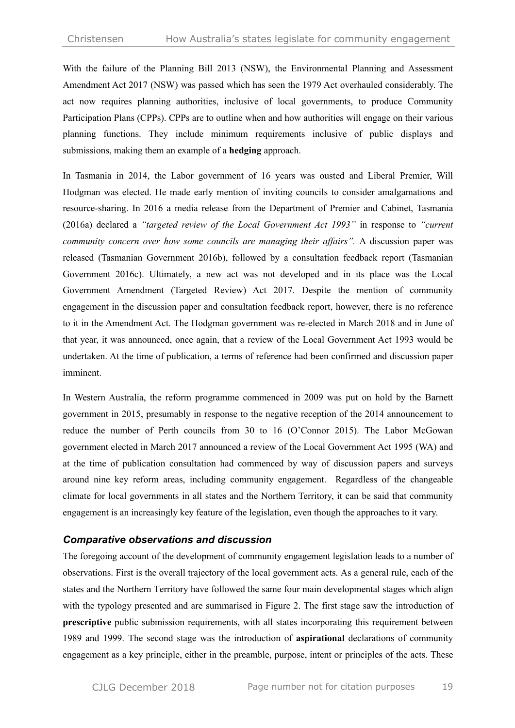With the failure of the Planning Bill 2013 (NSW), the Environmental Planning and Assessment Amendment Act 2017 (NSW) was passed which has seen the 1979 Act overhauled considerably. The act now requires planning authorities, inclusive of local governments, to produce Community Participation Plans (CPPs). CPPs are to outline when and how authorities will engage on their various planning functions. They include minimum requirements inclusive of public displays and submissions, making them an example of a **hedging** approach.

In Tasmania in 2014, the Labor government of 16 years was ousted and Liberal Premier, Will Hodgman was elected. He made early mention of inviting councils to consider amalgamations and resource-sharing. In 2016 a media release from the Department of Premier and Cabinet, Tasmania (2016a) declared a *"targeted review of the Local Government Act 1993"* in response to *"current community concern over how some councils are managing their affairs".* A discussion paper was released (Tasmanian Government 2016b), followed by a consultation feedback report (Tasmanian Government 2016c). Ultimately, a new act was not developed and in its place was the Local Government Amendment (Targeted Review) Act 2017. Despite the mention of community engagement in the discussion paper and consultation feedback report, however, there is no reference to it in the Amendment Act. The Hodgman government was re-elected in March 2018 and in June of that year, it was announced, once again, that a review of the Local Government Act 1993 would be undertaken. At the time of publication, a terms of reference had been confirmed and discussion paper imminent.

In Western Australia, the reform programme commenced in 2009 was put on hold by the Barnett government in 2015, presumably in response to the negative reception of the 2014 announcement to reduce the number of Perth councils from 30 to 16 (O'Connor 2015). The Labor McGowan government elected in March 2017 announced a review of the Local Government Act 1995 (WA) and at the time of publication consultation had commenced by way of discussion papers and surveys around nine key reform areas, including community engagement. Regardless of the changeable climate for local governments in all states and the Northern Territory, it can be said that community engagement is an increasingly key feature of the legislation, even though the approaches to it vary.

#### *Comparative observations and discussion*

The foregoing account of the development of community engagement legislation leads to a number of observations. First is the overall trajectory of the local government acts. As a general rule, each of the states and the Northern Territory have followed the same four main developmental stages which align with the typology presented and are summarised in Figure 2. The first stage saw the introduction of **prescriptive** public submission requirements, with all states incorporating this requirement between 1989 and 1999. The second stage was the introduction of **aspirational** declarations of community engagement as a key principle, either in the preamble, purpose, intent or principles of the acts. These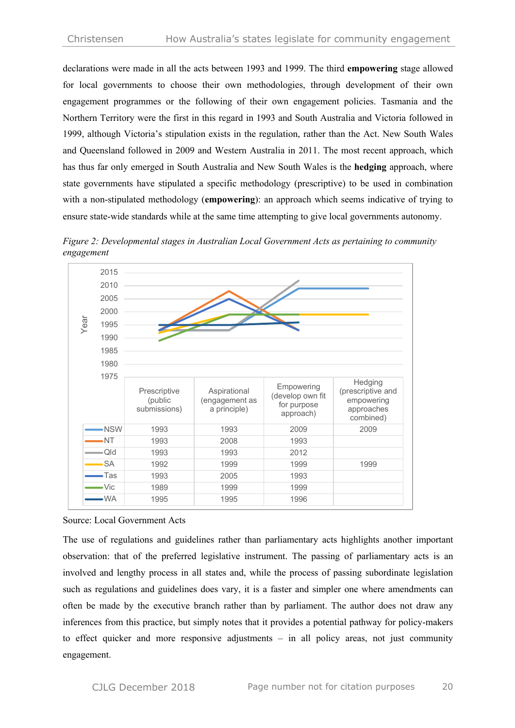declarations were made in all the acts between 1993 and 1999. The third **empowering** stage allowed for local governments to choose their own methodologies, through development of their own engagement programmes or the following of their own engagement policies. Tasmania and the Northern Territory were the first in this regard in 1993 and South Australia and Victoria followed in 1999, although Victoria's stipulation exists in the regulation, rather than the Act. New South Wales and Queensland followed in 2009 and Western Australia in 2011. The most recent approach, which has thus far only emerged in South Australia and New South Wales is the **hedging** approach, where state governments have stipulated a specific methodology (prescriptive) to be used in combination with a non-stipulated methodology (**empowering**): an approach which seems indicative of trying to ensure state-wide standards while at the same time attempting to give local governments autonomy.





Source: Local Government Acts

The use of regulations and guidelines rather than parliamentary acts highlights another important observation: that of the preferred legislative instrument. The passing of parliamentary acts is an involved and lengthy process in all states and, while the process of passing subordinate legislation such as regulations and guidelines does vary, it is a faster and simpler one where amendments can often be made by the executive branch rather than by parliament. The author does not draw any inferences from this practice, but simply notes that it provides a potential pathway for policy-makers to effect quicker and more responsive adjustments – in all policy areas, not just community engagement.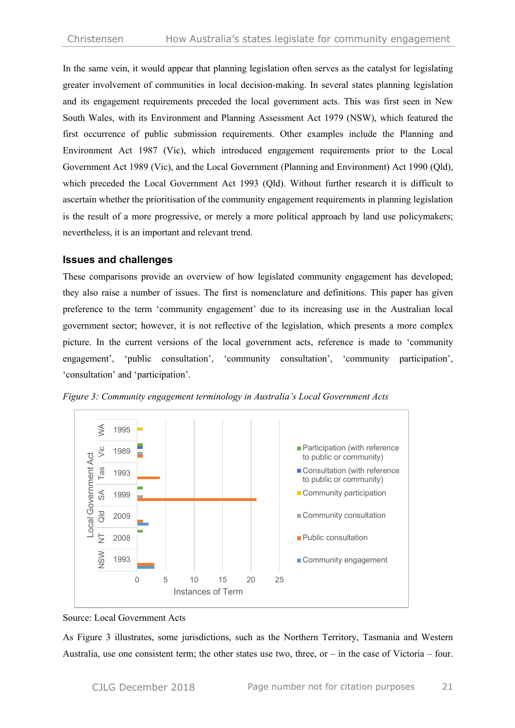In the same vein, it would appear that planning legislation often serves as the catalyst for legislating greater involvement of communities in local decision-making. In several states planning legislation and its engagement requirements preceded the local government acts. This was first seen in New South Wales, with its Environment and Planning Assessment Act 1979 (NSW), which featured the first occurrence of public submission requirements. Other examples include the Planning and Environment Act 1987 (Vic), which introduced engagement requirements prior to the Local Government Act 1989 (Vic), and the Local Government (Planning and Environment) Act 1990 (Qld), which preceded the Local Government Act 1993 (Qld). Without further research it is difficult to ascertain whether the prioritisation of the community engagement requirements in planning legislation is the result of a more progressive, or merely a more political approach by land use policymakers; nevertheless, it is an important and relevant trend.

#### **Issues and challenges**

These comparisons provide an overview of how legislated community engagement has developed; they also raise a number of issues. The first is nomenclature and definitions. This paper has given preference to the term 'community engagement' due to its increasing use in the Australian local government sector; however, it is not reflective of the legislation, which presents a more complex picture. In the current versions of the local government acts, reference is made to 'community engagement', 'public consultation', 'community consultation', 'community participation', 'consultation' and 'participation'.



*Figure 3: Community engagement terminology in Australia's Local Government Acts*

As Figure 3 illustrates, some jurisdictions, such as the Northern Territory, Tasmania and Western Australia, use one consistent term; the other states use two, three, or  $-$  in the case of Victoria – four.

Source: Local Government Acts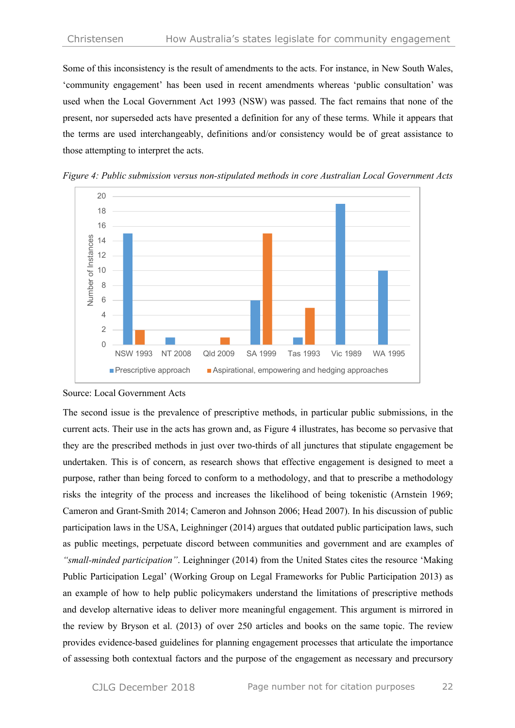Some of this inconsistency is the result of amendments to the acts. For instance, in New South Wales, 'community engagement' has been used in recent amendments whereas 'public consultation' was used when the Local Government Act 1993 (NSW) was passed. The fact remains that none of the present, nor superseded acts have presented a definition for any of these terms. While it appears that the terms are used interchangeably, definitions and/or consistency would be of great assistance to those attempting to interpret the acts.



*Figure 4: Public submission versus non-stipulated methods in core Australian Local Government Acts*

#### Source: Local Government Acts

The second issue is the prevalence of prescriptive methods, in particular public submissions, in the current acts. Their use in the acts has grown and, as Figure 4 illustrates, has become so pervasive that they are the prescribed methods in just over two-thirds of all junctures that stipulate engagement be undertaken. This is of concern, as research shows that effective engagement is designed to meet a purpose, rather than being forced to conform to a methodology, and that to prescribe a methodology risks the integrity of the process and increases the likelihood of being tokenistic (Arnstein 1969; Cameron and Grant-Smith 2014; Cameron and Johnson 2006; Head 2007). In his discussion of public participation laws in the USA, Leighninger (2014) argues that outdated public participation laws, such as public meetings, perpetuate discord between communities and government and are examples of *"small-minded participation"*. Leighninger (2014) from the United States cites the resource 'Making Public Participation Legal' (Working Group on Legal Frameworks for Public Participation 2013) as an example of how to help public policymakers understand the limitations of prescriptive methods and develop alternative ideas to deliver more meaningful engagement. This argument is mirrored in the review by Bryson et al. (2013) of over 250 articles and books on the same topic. The review provides evidence-based guidelines for planning engagement processes that articulate the importance of assessing both contextual factors and the purpose of the engagement as necessary and precursory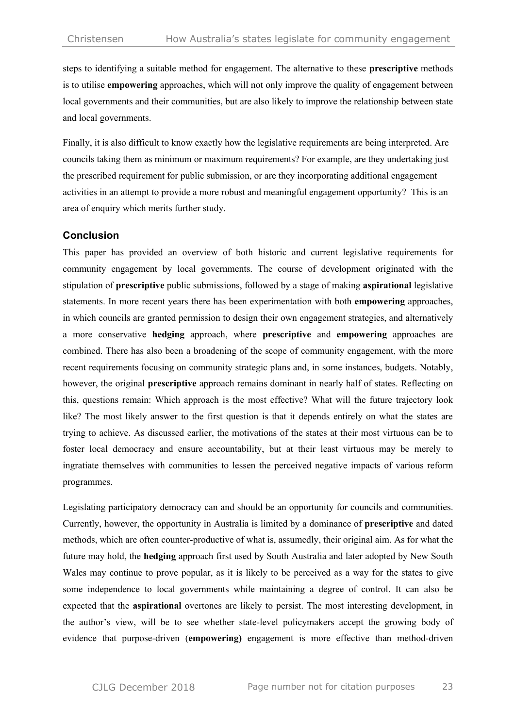steps to identifying a suitable method for engagement. The alternative to these **prescriptive** methods is to utilise **empowering** approaches, which will not only improve the quality of engagement between local governments and their communities, but are also likely to improve the relationship between state and local governments.

Finally, it is also difficult to know exactly how the legislative requirements are being interpreted. Are councils taking them as minimum or maximum requirements? For example, are they undertaking just the prescribed requirement for public submission, or are they incorporating additional engagement activities in an attempt to provide a more robust and meaningful engagement opportunity? This is an area of enquiry which merits further study.

#### **Conclusion**

This paper has provided an overview of both historic and current legislative requirements for community engagement by local governments. The course of development originated with the stipulation of **prescriptive** public submissions, followed by a stage of making **aspirational** legislative statements. In more recent years there has been experimentation with both **empowering** approaches, in which councils are granted permission to design their own engagement strategies, and alternatively a more conservative **hedging** approach, where **prescriptive** and **empowering** approaches are combined. There has also been a broadening of the scope of community engagement, with the more recent requirements focusing on community strategic plans and, in some instances, budgets. Notably, however, the original **prescriptive** approach remains dominant in nearly half of states. Reflecting on this, questions remain: Which approach is the most effective? What will the future trajectory look like? The most likely answer to the first question is that it depends entirely on what the states are trying to achieve. As discussed earlier, the motivations of the states at their most virtuous can be to foster local democracy and ensure accountability, but at their least virtuous may be merely to ingratiate themselves with communities to lessen the perceived negative impacts of various reform programmes.

Legislating participatory democracy can and should be an opportunity for councils and communities. Currently, however, the opportunity in Australia is limited by a dominance of **prescriptive** and dated methods, which are often counter-productive of what is, assumedly, their original aim. As for what the future may hold, the **hedging** approach first used by South Australia and later adopted by New South Wales may continue to prove popular, as it is likely to be perceived as a way for the states to give some independence to local governments while maintaining a degree of control. It can also be expected that the **aspirational** overtones are likely to persist. The most interesting development, in the author's view, will be to see whether state-level policymakers accept the growing body of evidence that purpose-driven (**empowering)** engagement is more effective than method-driven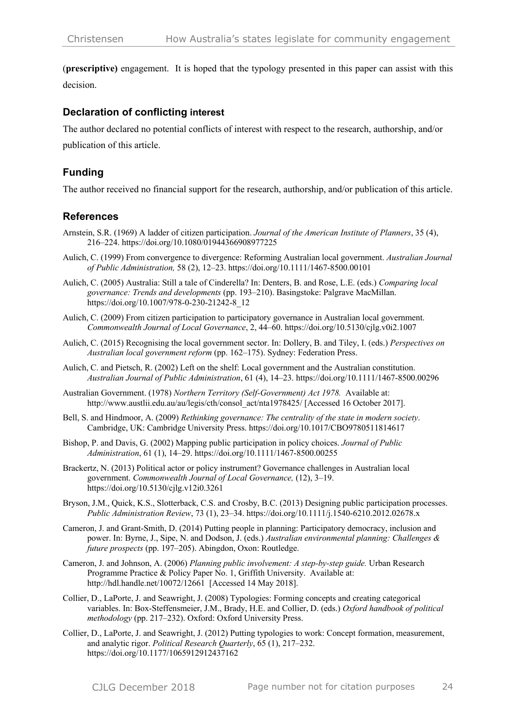(**prescriptive)** engagement. It is hoped that the typology presented in this paper can assist with this decision.

#### **Declaration of conflicting interest**

The author declared no potential conflicts of interest with respect to the research, authorship, and/or publication of this article.

# **Funding**

The author received no financial support for the research, authorship, and/or publication of this article.

#### **References**

- Arnstein, S.R. (1969) A ladder of citizen participation. *Journal of the American Institute of Planners*, 35 (4), 216–224. https://doi.org/10.1080/01944366908977225
- Aulich, C. (1999) From convergence to divergence: Reforming Australian local government. *Australian Journal of Public Administration,* 58 (2), 12–23. https://doi.org/10.1111/1467-8500.00101
- Aulich, C. (2005) Australia: Still a tale of Cinderella? In: Denters, B. and Rose, L.E. (eds.) *Comparing local governance: Trends and developments* (pp. 193–210). Basingstoke: Palgrave MacMillan. https://doi.org/10.1007/978-0-230-21242-8\_12
- Aulich, C. (2009) From citizen participation to participatory governance in Australian local government. *Commonwealth Journal of Local Governance*, 2, 44–60. https://doi.org/10.5130/cjlg.v0i2.1007
- Aulich, C. (2015) Recognising the local government sector. In: Dollery, B. and Tiley, I. (eds.) *Perspectives on Australian local government reform* (pp. 162–175). Sydney: Federation Press.
- Aulich, C. and Pietsch, R. (2002) Left on the shelf: Local government and the Australian constitution. *Australian Journal of Public Administration*, 61 (4), 14–23. https://doi.org/10.1111/1467-8500.00296
- Australian Government. (1978) *Northern Territory (Self-Government) Act 1978.* Available at: http://www.austlii.edu.au/au/legis/cth/consol\_act/nta1978425/ [Accessed 16 October 2017].
- Bell, S. and Hindmoor, A. (2009) *Rethinking governance: The centrality of the state in modern society*. Cambridge, UK: Cambridge University Press. https://doi.org/10.1017/CBO9780511814617
- Bishop, P. and Davis, G. (2002) Mapping public participation in policy choices. *Journal of Public Administration*, 61 (1), 14–29. https://doi.org/10.1111/1467-8500.00255
- Brackertz, N. (2013) Political actor or policy instrument? Governance challenges in Australian local government. *Commonwealth Journal of Local Governance,* (12), 3–19. https://doi.org/10.5130/cjlg.v12i0.3261
- Bryson, J.M., Quick, K.S., Slotterback, C.S. and Crosby, B.C. (2013) Designing public participation processes. *Public Administration Review*, 73 (1), 23–34. https://doi.org/10.1111/j.1540-6210.2012.02678.x
- Cameron, J. and Grant-Smith, D. (2014) Putting people in planning: Participatory democracy, inclusion and power. In: Byrne, J., Sipe, N. and Dodson, J. (eds.) *Australian environmental planning: Challenges & future prospects* (pp. 197–205). Abingdon, Oxon: Routledge.
- Cameron, J. and Johnson, A. (2006) *Planning public involvement: A step-by-step guide.* Urban Research Programme Practice & Policy Paper No. 1, Griffith University. Available at: http://hdl.handle.net/10072/12661 [Accessed 14 May 2018].
- Collier, D., LaPorte, J. and Seawright, J. (2008) Typologies: Forming concepts and creating categorical variables. In: Box-Steffensmeier, J.M., Brady, H.E. and Collier, D. (eds.) *Oxford handbook of political methodology* (pp. 217–232). Oxford: Oxford University Press.
- Collier, D., LaPorte, J. and Seawright, J. (2012) Putting typologies to work: Concept formation, measurement, and analytic rigor. *Political Research Quarterly*, 65 (1), 217–232. https://doi.org/10.1177/1065912912437162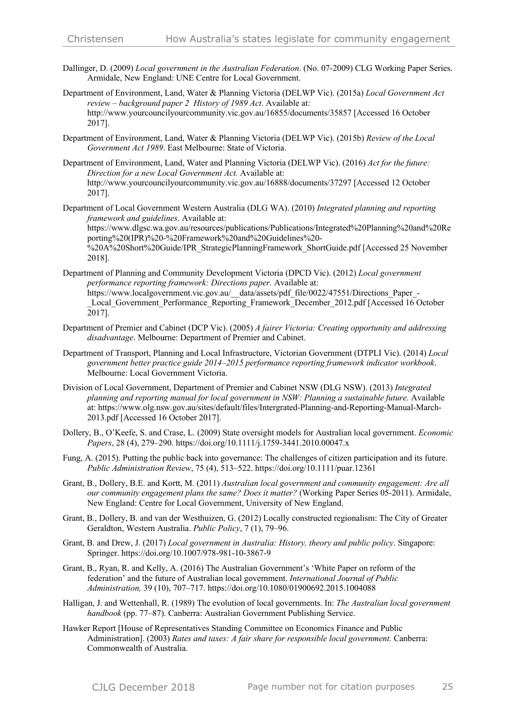- Dallinger, D. (2009) *Local government in the Australian Federation*. (No. 07-2009) CLG Working Paper Series. Armidale, New England: UNE Centre for Local Government.
- Department of Environment, Land, Water & Planning Victoria (DELWP Vic). (2015a) *Local Government Act review – background paper 2 History of 1989 Act*. Available at: http://www.yourcouncilyourcommunity.vic.gov.au/16855/documents/35857 [Accessed 16 October 2017].
- Department of Environment, Land, Water & Planning Victoria (DELWP Vic). (2015b) *Review of the Local Government Act 1989*. East Melbourne: State of Victoria.
- Department of Environment, Land, Water and Planning Victoria (DELWP Vic). (2016) *Act for the future: Direction for a new Local Government Act.* Available at: http://www.yourcouncilyourcommunity.vic.gov.au/16888/documents/37297 [Accessed 12 October 2017].
- Department of Local Government Western Australia (DLG WA). (2010) *Integrated planning and reporting framework and guidelines*. Available at: https://www.dlgsc.wa.gov.au/resources/publications/Publications/Integrated%20Planning%20and%20Re porting%20(IPR)%20-%20Framework%20and%20Guidelines%20- %20A%20Short%20Guide/IPR\_StrategicPlanningFramework\_ShortGuide.pdf [Accessed 25 November

2018].

- Department of Planning and Community Development Victoria (DPCD Vic). (2012) *Local government performance reporting framework: Directions paper.* Available at: https://www.localgovernment.vic.gov.au/\_\_data/assets/pdf\_file/0022/47551/Directions\_Paper\_- Local Government Performance Reporting Framework December 2012.pdf [Accessed 16 October 2017].
- Department of Premier and Cabinet (DCP Vic). (2005) *A fairer Victoria: Creating opportunity and addressing disadvantage*. Melbourne: Department of Premier and Cabinet.
- Department of Transport, Planning and Local Infrastructure, Victorian Government (DTPLI Vic). (2014) *Local government better practice guide 2014–2015 performance reporting framework indicator workbook*. Melbourne: Local Government Victoria.
- Division of Local Government, Department of Premier and Cabinet NSW (DLG NSW). (2013) *Integrated planning and reporting manual for local government in NSW: Planning a sustainable future.* Available at: https://www.olg.nsw.gov.au/sites/default/files/Intergrated-Planning-and-Reporting-Manual-March-2013.pdf [Accessed 16 October 2017].
- Dollery, B., O'Keefe, S. and Crase, L. (2009) State oversight models for Australian local government. *Economic Papers*, 28 (4), 279–290. https://doi.org/10.1111/j.1759-3441.2010.00047.x
- Fung, A. (2015). Putting the public back into governance: The challenges of citizen participation and its future. *Public Administration Review*, 75 (4), 513–522. https://doi.org/10.1111/puar.12361
- Grant, B., Dollery, B.E. and Kortt, M. (2011) *Australian local government and community engagement: Are all our community engagement plans the same? Does it matter?* (Working Paper Series 05-2011). Armidale, New England: Centre for Local Government, University of New England.
- Grant, B., Dollery, B. and van der Westhuizen, G. (2012) Locally constructed regionalism: The City of Greater Geraldton, Western Australia. *Public Policy*, 7 (1), 79–96.
- Grant, B. and Drew, J. (2017) *Local government in Australia: History, theory and public policy*. Singapore: Springer. https://doi.org/10.1007/978-981-10-3867-9
- Grant, B., Ryan, R. and Kelly, A. (2016) The Australian Government's 'White Paper on reform of the federation' and the future of Australian local government. *International Journal of Public Administration,* 39 (10), 707–717. https://doi.org/10.1080/01900692.2015.1004088
- Halligan, J. and Wettenhall, R. (1989) The evolution of local governments. In: *The Australian local government handbook* (pp. 77–87). Canberra: Australian Government Publishing Service.
- Hawker Report [House of Representatives Standing Committee on Economics Finance and Public Administration]. (2003) *Rates and taxes: A fair share for responsible local government.* Canberra: Commonwealth of Australia.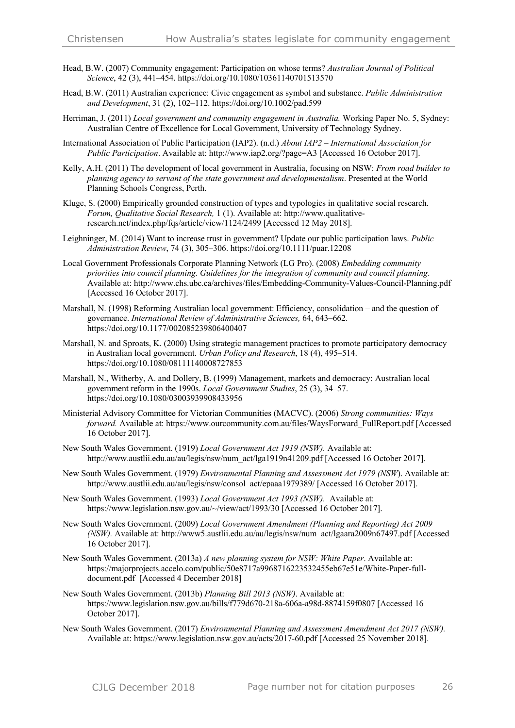- Head, B.W. (2007) Community engagement: Participation on whose terms? *Australian Journal of Political Science*, 42 (3), 441–454. https://doi.org/10.1080/10361140701513570
- Head, B.W. (2011) Australian experience: Civic engagement as symbol and substance. *Public Administration and Development*, 31 (2), 102–112. https://doi.org/10.1002/pad.599
- Herriman, J. (2011) *Local government and community engagement in Australia.* Working Paper No. 5, Sydney: Australian Centre of Excellence for Local Government, University of Technology Sydney.
- International Association of Public Participation (IAP2). (n.d.) *About IAP2 – International Association for Public Participation*. Available at: http://www.iap2.org/?page=A3 [Accessed 16 October 2017].
- Kelly, A.H. (2011) The development of local government in Australia, focusing on NSW: *From road builder to planning agency to servant of the state government and developmentalism*. Presented at the World Planning Schools Congress, Perth.
- Kluge, S. (2000) Empirically grounded construction of types and typologies in qualitative social research. *Forum, Qualitative Social Research,* 1 (1). Available at: http://www.qualitativeresearch.net/index.php/fqs/article/view/1124/2499 [Accessed 12 May 2018].
- Leighninger, M. (2014) Want to increase trust in government? Update our public participation laws. *Public Administration Review*, 74 (3), 305–306. https://doi.org/10.1111/puar.12208
- Local Government Professionals Corporate Planning Network (LG Pro). (2008) *Embedding community priorities into council planning. Guidelines for the integration of community and council planning*. Available at: http://www.chs.ubc.ca/archives/files/Embedding-Community-Values-Council-Planning.pdf [Accessed 16 October 2017].
- Marshall, N. (1998) Reforming Australian local government: Efficiency, consolidation and the question of governance. *International Review of Administrative Sciences,* 64, 643–662. https://doi.org/10.1177/002085239806400407
- Marshall, N. and Sproats, K. (2000) Using strategic management practices to promote participatory democracy in Australian local government. *Urban Policy and Research*, 18 (4), 495–514. https://doi.org/10.1080/08111140008727853
- Marshall, N., Witherby, A. and Dollery, B. (1999) Management, markets and democracy: Australian local government reform in the 1990s. *Local Government Studies*, 25 (3), 34–57. https://doi.org/10.1080/03003939908433956
- Ministerial Advisory Committee for Victorian Communities (MACVC). (2006) *Strong communities: Ways forward.* Available at: https://www.ourcommunity.com.au/files/WaysForward\_FullReport.pdf [Accessed 16 October 2017].
- New South Wales Government. (1919) *Local Government Act 1919 (NSW).* Available at: http://www.austlii.edu.au/au/legis/nsw/num\_act/lga1919n41209.pdf [Accessed 16 October 2017].
- New South Wales Government. (1979) *Environmental Planning and Assessment Act 1979 (NSW*). Available at: http://www.austlii.edu.au/au/legis/nsw/consol\_act/epaaa1979389/ [Accessed 16 October 2017].
- New South Wales Government. (1993) *Local Government Act 1993 (NSW).* Available at: https://www.legislation.nsw.gov.au/~/view/act/1993/30 [Accessed 16 October 2017].
- New South Wales Government. (2009) *Local Government Amendment (Planning and Reporting) Act 2009 (NSW).* Available at: http://www5.austlii.edu.au/au/legis/nsw/num\_act/lgaara2009n67497.pdf [Accessed 16 October 2017].
- New South Wales Government. (2013a) *A new planning system for NSW: White Paper*. Available at: https://majorprojects.accelo.com/public/50e8717a9968716223532455eb67e51e/White-Paper-fulldocument.pdf [Accessed 4 December 2018]
- New South Wales Government. (2013b) *Planning Bill 2013 (NSW)*. Available at: https://www.legislation.nsw.gov.au/bills/f779d670-218a-606a-a98d-8874159f0807 [Accessed 16 October 2017].
- New South Wales Government. (2017) *Environmental Planning and Assessment Amendment Act 2017 (NSW).* Available at: https://www.legislation.nsw.gov.au/acts/2017-60.pdf [Accessed 25 November 2018].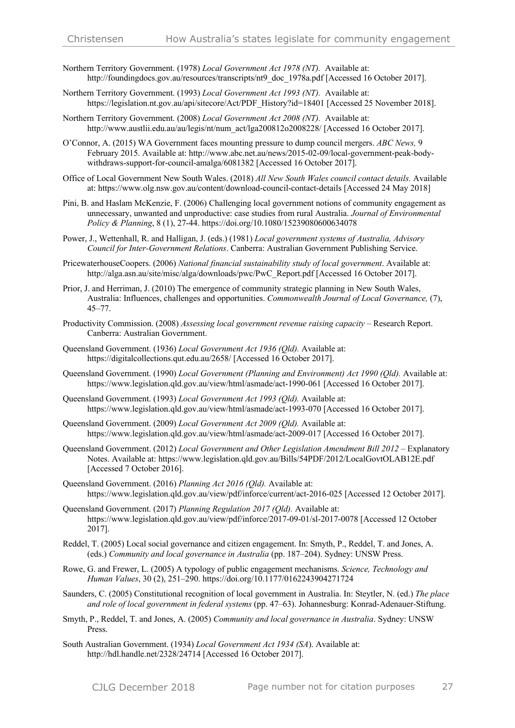- Northern Territory Government. (1978) *Local Government Act 1978 (NT).* Available at: http://foundingdocs.gov.au/resources/transcripts/nt9\_doc\_1978a.pdf [Accessed 16 October 2017].
- Northern Territory Government. (1993) *Local Government Act 1993 (NT).* Available at: https://legislation.nt.gov.au/api/sitecore/Act/PDF\_History?id=18401 [Accessed 25 November 2018].
- Northern Territory Government. (2008) *Local Government Act 2008 (NT).* Available at: http://www.austlii.edu.au/au/legis/nt/num\_act/lga200812o2008228/ [Accessed 16 October 2017].
- O'Connor, A. (2015) WA Government faces mounting pressure to dump council mergers. *ABC News,* 9 February 2015. Available at: http://www.abc.net.au/news/2015-02-09/local-government-peak-bodywithdraws-support-for-council-amalga/6081382 [Accessed 16 October 2017].
- Office of Local Government New South Wales. (2018) *All New South Wales council contact details.* Available at: https://www.olg.nsw.gov.au/content/download-council-contact-details [Accessed 24 May 2018]
- Pini, B. and Haslam McKenzie, F. (2006) Challenging local government notions of community engagement as unnecessary, unwanted and unproductive: case studies from rural Australia. *Journal of Environmental Policy & Planning*, 8 (1), 27-44. https://doi.org/10.1080/15239080600634078
- Power, J., Wettenhall, R. and Halligan, J. (eds.) (1981) *Local government systems of Australia, Advisory Council for Inter-Government Relations*. Canberra: Australian Government Publishing Service.
- PricewaterhouseCoopers. (2006) *National financial sustainability study of local government*. Available at: http://alga.asn.au/site/misc/alga/downloads/pwc/PwC\_Report.pdf [Accessed 16 October 2017].
- Prior, J. and Herriman, J. (2010) The emergence of community strategic planning in New South Wales, Australia: Influences, challenges and opportunities. *Commonwealth Journal of Local Governance,* (7), 45–77.
- Productivity Commission. (2008) *Assessing local government revenue raising capacity –* Research Report. Canberra: Australian Government.
- Queensland Government. (1936) *Local Government Act 1936 (Qld).* Available at: https://digitalcollections.qut.edu.au/2658/ [Accessed 16 October 2017].
- Queensland Government. (1990) *Local Government (Planning and Environment) Act 1990 (Qld).* Available at: https://www.legislation.qld.gov.au/view/html/asmade/act-1990-061 [Accessed 16 October 2017].
- Queensland Government. (1993) *Local Government Act 1993 (Qld).* Available at: https://www.legislation.qld.gov.au/view/html/asmade/act-1993-070 [Accessed 16 October 2017].
- Queensland Government. (2009) *Local Government Act 2009 (Qld).* Available at: https://www.legislation.qld.gov.au/view/html/asmade/act-2009-017 [Accessed 16 October 2017].
- Queensland Government. (2012) *Local Government and Other Legislation Amendment Bill 2012* Explanatory Notes. Available at: https://www.legislation.qld.gov.au/Bills/54PDF/2012/LocalGovtOLAB12E.pdf [Accessed 7 October 2016].
- Queensland Government. (2016) *Planning Act 2016 (Qld).* Available at: https://www.legislation.qld.gov.au/view/pdf/inforce/current/act-2016-025 [Accessed 12 October 2017].
- Queensland Government. (2017) *Planning Regulation 2017 (Qld).* Available at: https://www.legislation.qld.gov.au/view/pdf/inforce/2017-09-01/sl-2017-0078 [Accessed 12 October 2017].
- Reddel, T. (2005) Local social governance and citizen engagement. In: Smyth, P., Reddel, T. and Jones, A. (eds.) *Community and local governance in Australia* (pp. 187–204). Sydney: UNSW Press.
- Rowe, G. and Frewer, L. (2005) A typology of public engagement mechanisms. *Science, Technology and Human Values*, 30 (2), 251–290. https://doi.org/10.1177/0162243904271724
- Saunders, C. (2005) Constitutional recognition of local government in Australia. In: Steytler, N. (ed.) *The place and role of local government in federal systems* (pp. 47–63). Johannesburg: Konrad-Adenauer-Stiftung.
- Smyth, P., Reddel, T. and Jones, A. (2005) *Community and local governance in Australia*. Sydney: UNSW Press.
- South Australian Government. (1934) *Local Government Act 1934 (SA*). Available at: http://hdl.handle.net/2328/24714 [Accessed 16 October 2017].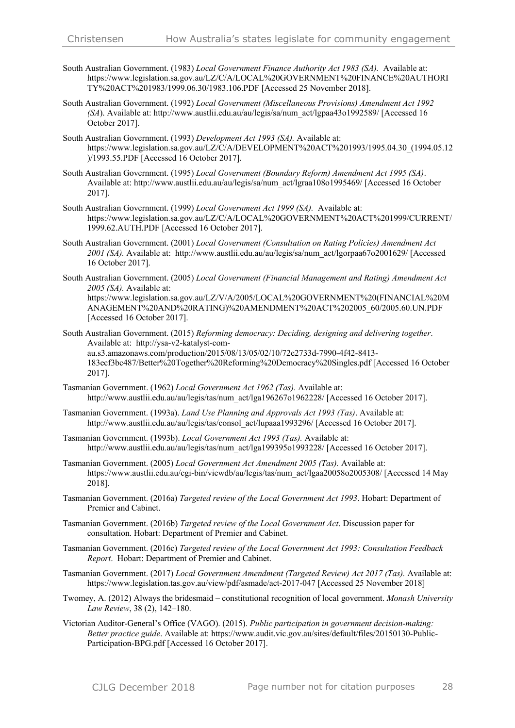- South Australian Government. (1983) *Local Government Finance Authority Act 1983 (SA).* Available at: https://www.legislation.sa.gov.au/LZ/C/A/LOCAL%20GOVERNMENT%20FINANCE%20AUTHORI TY%20ACT%201983/1999.06.30/1983.106.PDF [Accessed 25 November 2018].
- South Australian Government. (1992) *Local Government (Miscellaneous Provisions) Amendment Act 1992 (SA*). Available at: http://www.austlii.edu.au/au/legis/sa/num\_act/lgpaa43o1992589/ [Accessed 16 October 2017].
- South Australian Government. (1993) *Development Act 1993 (SA).* Available at: https://www.legislation.sa.gov.au/LZ/C/A/DEVELOPMENT%20ACT%201993/1995.04.30\_(1994.05.12 )/1993.55.PDF [Accessed 16 October 2017].
- South Australian Government. (1995) *Local Government (Boundary Reform) Amendment Act 1995 (SA)*. Available at: http://www.austlii.edu.au/au/legis/sa/num\_act/lgraa108o1995469/ [Accessed 16 October 2017].
- South Australian Government. (1999) *Local Government Act 1999 (SA).* Available at: https://www.legislation.sa.gov.au/LZ/C/A/LOCAL%20GOVERNMENT%20ACT%201999/CURRENT/ 1999.62.AUTH.PDF [Accessed 16 October 2017].
- South Australian Government. (2001) *Local Government (Consultation on Rating Policies) Amendment Act 2001 (SA).* Available at: http://www.austlii.edu.au/au/legis/sa/num\_act/lgorpaa67o2001629/ [Accessed 16 October 2017].
- South Australian Government. (2005) *Local Government (Financial Management and Rating) Amendment Act 2005 (SA).* Available at: https://www.legislation.sa.gov.au/LZ/V/A/2005/LOCAL%20GOVERNMENT%20(FINANCIAL%20M ANAGEMENT%20AND%20RATING)%20AMENDMENT%20ACT%202005\_60/2005.60.UN.PDF [Accessed 16 October 2017].
- South Australian Government. (2015) *Reforming democracy: Deciding, designing and delivering together*. Available at: http://ysa-v2-katalyst-comau.s3.amazonaws.com/production/2015/08/13/05/02/10/72e2733d-7990-4f42-8413- 183ecf3bc487/Better%20Together%20Reforming%20Democracy%20Singles.pdf [Accessed 16 October 2017].
- Tasmanian Government. (1962) *Local Government Act 1962 (Tas).* Available at: http://www.austlii.edu.au/au/legis/tas/num\_act/lga196267o1962228/ [Accessed 16 October 2017].
- Tasmanian Government. (1993a). *Land Use Planning and Approvals Act 1993 (Tas)*. Available at: http://www.austlii.edu.au/au/legis/tas/consol\_act/lupaaa1993296/ [Accessed 16 October 2017].
- Tasmanian Government. (1993b). *Local Government Act 1993 (Tas).* Available at: http://www.austlii.edu.au/au/legis/tas/num\_act/lga199395o1993228/ [Accessed 16 October 2017].
- Tasmanian Government. (2005) *Local Government Act Amendment 2005 (Tas).* Available at: https://www.austlii.edu.au/cgi-bin/viewdb/au/legis/tas/num\_act/lgaa20058o2005308/ [Accessed 14 May 2018].
- Tasmanian Government. (2016a) *Targeted review of the Local Government Act 1993*. Hobart: Department of Premier and Cabinet.
- Tasmanian Government. (2016b) *Targeted review of the Local Government Act*. Discussion paper for consultation. Hobart: Department of Premier and Cabinet.
- Tasmanian Government. (2016c) *Targeted review of the Local Government Act 1993: Consultation Feedback Report*. Hobart: Department of Premier and Cabinet.
- Tasmanian Government. (2017) *Local Government Amendment (Targeted Review) Act 2017 (Tas).* Available at: https://www.legislation.tas.gov.au/view/pdf/asmade/act-2017-047 [Accessed 25 November 2018]
- Twomey, A. (2012) Always the bridesmaid constitutional recognition of local government. *Monash University Law Review*, 38 (2), 142–180.
- Victorian Auditor-General's Office (VAGO). (2015). *Public participation in government decision-making: Better practice guide*. Available at: https://www.audit.vic.gov.au/sites/default/files/20150130-Public-Participation-BPG.pdf [Accessed 16 October 2017].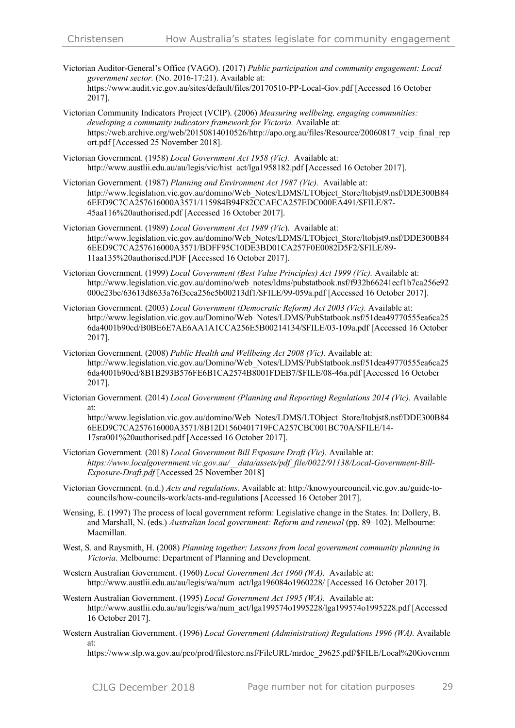- Victorian Auditor-General's Office (VAGO). (2017) *Public participation and community engagement: Local government sector.* (No. 2016-17:21). Available at: https://www.audit.vic.gov.au/sites/default/files/20170510-PP-Local-Gov.pdf [Accessed 16 October 2017].
- Victorian Community Indicators Project (VCIP). (2006) *Measuring wellbeing, engaging communities: developing a community indicators framework for Victoria.* Available at: https://web.archive.org/web/20150814010526/http://apo.org.au/files/Resource/20060817 vcip\_final\_rep ort.pdf [Accessed 25 November 2018].
- Victorian Government. (1958) *Local Government Act 1958 (Vic).* Available at: http://www.austlii.edu.au/au/legis/vic/hist\_act/lga1958182.pdf [Accessed 16 October 2017].
- Victorian Government. (1987) *Planning and Environment Act 1987 (Vic).* Available at: http://www.legislation.vic.gov.au/domino/Web\_Notes/LDMS/LTObject\_Store/ltobjst9.nsf/DDE300B84 6EED9C7CA257616000A3571/115984B94F82CCAECA257EDC000EA491/\$FILE/87- 45aa116%20authorised.pdf [Accessed 16 October 2017].
- Victorian Government. (1989) *Local Government Act 1989 (Vic*). Available at: http://www.legislation.vic.gov.au/domino/Web\_Notes/LDMS/LTObiect\_Store/ltobist9.nsf/DDE300B84 6EED9C7CA257616000A3571/BDFF95C10DE3BD01CA257F0E0082D5F2/\$FILE/89- 11aa135%20authorised.PDF [Accessed 16 October 2017].
- Victorian Government. (1999) *Local Government (Best Value Principles) Act 1999 (Vic).* Available at: http://www.legislation.vic.gov.au/domino/web\_notes/ldms/pubstatbook.nsf/f932b66241ecf1b7ca256e92 000e23be/63613d8633a76f3cca256e5b00213df1/\$FILE/99-059a.pdf [Accessed 16 October 2017].
- Victorian Government. (2003) *Local Government (Democratic Reform) Act 2003 (Vic).* Available at: http://www.legislation.vic.gov.au/Domino/Web\_Notes/LDMS/PubStatbook.nsf/51dea49770555ea6ca25 6da4001b90cd/B0BE6E7AE6AA1A1CCA256E5B00214134/\$FILE/03-109a.pdf [Accessed 16 October 2017].
- Victorian Government. (2008) *Public Health and Wellbeing Act 2008 (Vic).* Available at: http://www.legislation.vic.gov.au/Domino/Web\_Notes/LDMS/PubStatbook.nsf/51dea49770555ea6ca25 6da4001b90cd/8B1B293B576FE6B1CA2574B8001FDEB7/\$FILE/08-46a.pdf [Accessed 16 October 2017].
- Victorian Government. (2014) *Local Government (Planning and Reporting) Regulations 2014 (Vic).* Available at:

http://www.legislation.vic.gov.au/domino/Web\_Notes/LDMS/LTObject\_Store/ltobjst8.nsf/DDE300B84 6EED9C7CA257616000A3571/8B12D1560401719FCA257CBC001BC70A/\$FILE/14- 17sra001%20authorised.pdf [Accessed 16 October 2017].

- Victorian Government. (2018) *Local Government Bill Exposure Draft (Vic).* Available at: *https://www.localgovernment.vic.gov.au/\_\_data/assets/pdf\_file/0022/91138/Local-Government-Bill-Exposure-Draft.pdf* [Accessed 25 November 2018]
- Victorian Government. (n.d.) *Acts and regulations*. Available at: http://knowyourcouncil.vic.gov.au/guide-tocouncils/how-councils-work/acts-and-regulations [Accessed 16 October 2017].
- Wensing, E. (1997) The process of local government reform: Legislative change in the States. In: Dollery, B. and Marshall, N. (eds.) *Australian local government: Reform and renewal* (pp. 89–102). Melbourne: Macmillan.
- West, S. and Raysmith, H. (2008) *Planning together: Lessons from local government community planning in Victoria*. Melbourne: Department of Planning and Development.
- Western Australian Government. (1960) *Local Government Act 1960 (WA).* Available at: http://www.austlii.edu.au/au/legis/wa/num\_act/lga196084o1960228/ [Accessed 16 October 2017].
- Western Australian Government. (1995) *Local Government Act 1995 (WA).* Available at: http://www.austlii.edu.au/au/legis/wa/num\_act/lga199574o1995228/lga199574o1995228.pdf [Accessed 16 October 2017].
- Western Australian Government. (1996) *Local Government (Administration) Regulations 1996 (WA).* Available at:

https://www.slp.wa.gov.au/pco/prod/filestore.nsf/FileURL/mrdoc\_29625.pdf/\$FILE/Local%20Governm